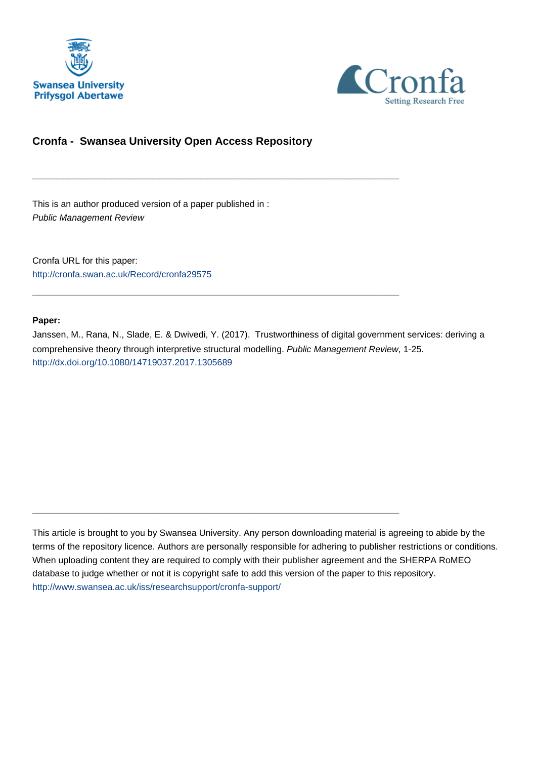



# **Cronfa - Swansea University Open Access Repository**

\_\_\_\_\_\_\_\_\_\_\_\_\_\_\_\_\_\_\_\_\_\_\_\_\_\_\_\_\_\_\_\_\_\_\_\_\_\_\_\_\_\_\_\_\_\_\_\_\_\_\_\_\_\_\_\_\_\_\_\_\_

\_\_\_\_\_\_\_\_\_\_\_\_\_\_\_\_\_\_\_\_\_\_\_\_\_\_\_\_\_\_\_\_\_\_\_\_\_\_\_\_\_\_\_\_\_\_\_\_\_\_\_\_\_\_\_\_\_\_\_\_\_

 $\_$  , and the set of the set of the set of the set of the set of the set of the set of the set of the set of the set of the set of the set of the set of the set of the set of the set of the set of the set of the set of th

This is an author produced version of a paper published in : Public Management Review

Cronfa URL for this paper: <http://cronfa.swan.ac.uk/Record/cronfa29575>

#### **Paper:**

Janssen, M., Rana, N., Slade, E. & Dwivedi, Y. (2017). Trustworthiness of digital government services: deriving a comprehensive theory through interpretive structural modelling. Public Management Review, 1-25. <http://dx.doi.org/10.1080/14719037.2017.1305689>

This article is brought to you by Swansea University. Any person downloading material is agreeing to abide by the terms of the repository licence. Authors are personally responsible for adhering to publisher restrictions or conditions. When uploading content they are required to comply with their publisher agreement and the SHERPA RoMEO database to judge whether or not it is copyright safe to add this version of the paper to this repository. [http://www.swansea.ac.uk/iss/researchsupport/cronfa-support/](http://www.swansea.ac.uk/iss/researchsupport/cronfa-support/ )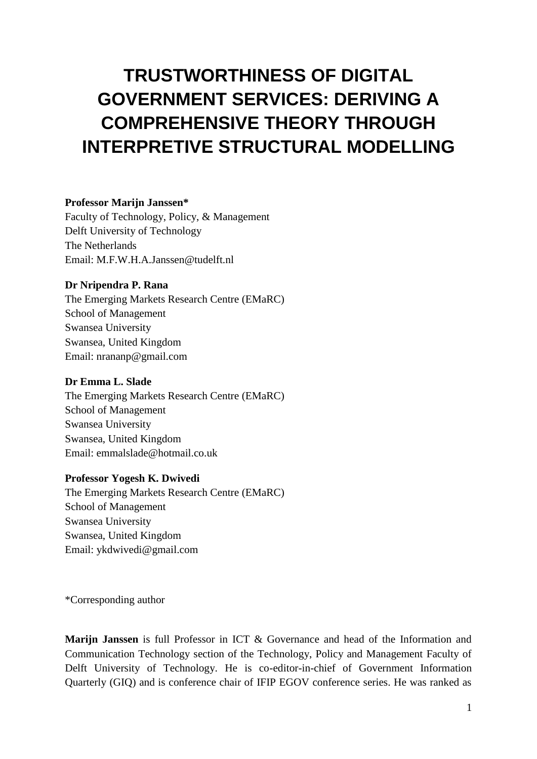# **TRUSTWORTHINESS OF DIGITAL GOVERNMENT SERVICES: DERIVING A COMPREHENSIVE THEORY THROUGH INTERPRETIVE STRUCTURAL MODELLING**

# **Professor Marijn Janssen\***

Faculty of Technology, Policy, & Management Delft University of Technology The Netherlands Email: M.F.W.H.A.Janssen@tudelft.nl

# **Dr Nripendra P. Rana**

The Emerging Markets Research Centre (EMaRC) School of Management Swansea University Swansea, United Kingdom Email: nrananp@gmail.com

# **Dr Emma L. Slade**

The Emerging Markets Research Centre (EMaRC) School of Management Swansea University Swansea, United Kingdom Email: emmalslade@hotmail.co.uk

# **Professor Yogesh K. Dwivedi**

The Emerging Markets Research Centre (EMaRC) School of Management Swansea University Swansea, United Kingdom Email: ykdwivedi@gmail.com

\*Corresponding author

**Marijn Janssen** is full Professor in ICT & Governance and head of the Information and Communication Technology section of the Technology, Policy and Management Faculty of Delft University of Technology. He is co-editor-in-chief of Government Information Quarterly (GIQ) and is conference chair of IFIP EGOV conference series. He was ranked as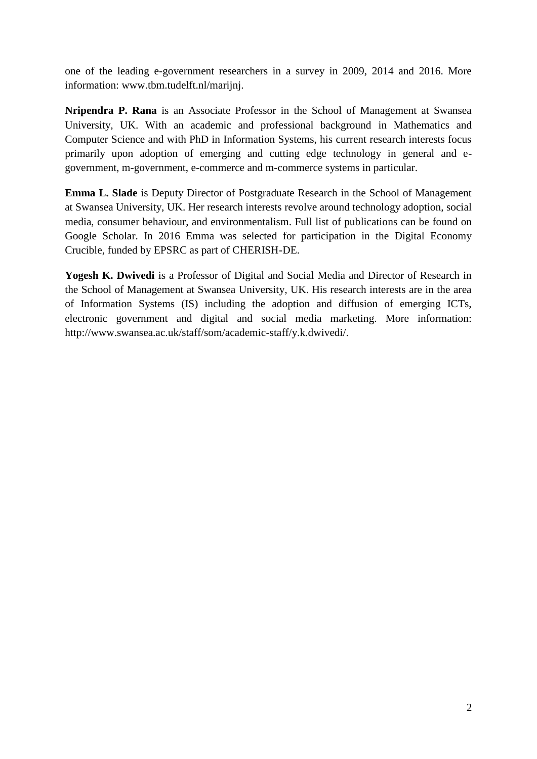one of the leading e-government researchers in a survey in 2009, 2014 and 2016. More information: www.tbm.tudelft.nl/marijnj.

**Nripendra P. Rana** is an Associate Professor in the School of Management at Swansea University, UK. With an academic and professional background in Mathematics and Computer Science and with PhD in Information Systems, his current research interests focus primarily upon adoption of emerging and cutting edge technology in general and egovernment, m-government, e-commerce and m-commerce systems in particular.

**Emma L. Slade** is Deputy Director of Postgraduate Research in the School of Management at Swansea University, UK. Her research interests revolve around technology adoption, social media, consumer behaviour, and environmentalism. Full list of publications can be found on Google Scholar. In 2016 Emma was selected for participation in the Digital Economy Crucible, funded by EPSRC as part of CHERISH-DE.

**Yogesh K. Dwivedi** is a Professor of Digital and Social Media and Director of Research in the School of Management at Swansea University, UK. His research interests are in the area of Information Systems (IS) including the adoption and diffusion of emerging ICTs, electronic government and digital and social media marketing. More information: http://www.swansea.ac.uk/staff/som/academic-staff/y.k.dwivedi/.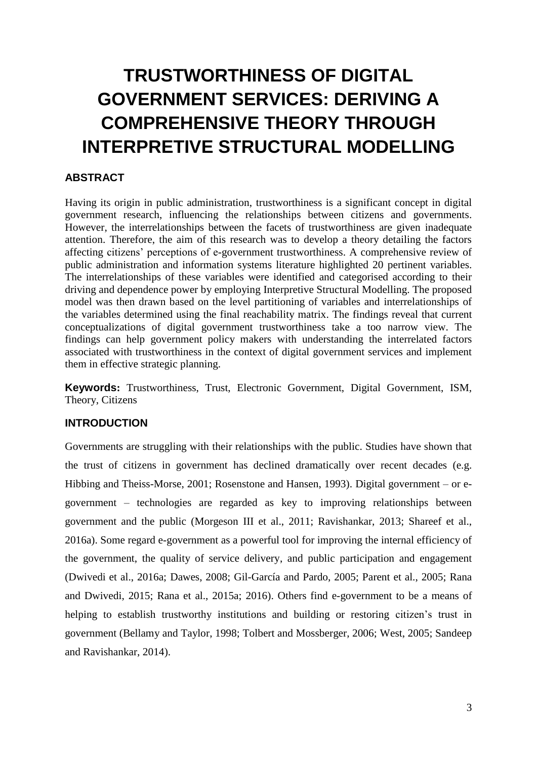# **TRUSTWORTHINESS OF DIGITAL GOVERNMENT SERVICES: DERIVING A COMPREHENSIVE THEORY THROUGH INTERPRETIVE STRUCTURAL MODELLING**

# **ABSTRACT**

Having its origin in public administration, trustworthiness is a significant concept in digital government research, influencing the relationships between citizens and governments. However, the interrelationships between the facets of trustworthiness are given inadequate attention. Therefore, the aim of this research was to develop a theory detailing the factors affecting citizens' perceptions of e-government trustworthiness. A comprehensive review of public administration and information systems literature highlighted 20 pertinent variables. The interrelationships of these variables were identified and categorised according to their driving and dependence power by employing Interpretive Structural Modelling. The proposed model was then drawn based on the level partitioning of variables and interrelationships of the variables determined using the final reachability matrix. The findings reveal that current conceptualizations of digital government trustworthiness take a too narrow view. The findings can help government policy makers with understanding the interrelated factors associated with trustworthiness in the context of digital government services and implement them in effective strategic planning.

**Keywords:** Trustworthiness, Trust, Electronic Government, Digital Government, ISM, Theory, Citizens

## **INTRODUCTION**

Governments are struggling with their relationships with the public. Studies have shown that the trust of citizens in government has declined dramatically over recent decades (e.g. Hibbing and Theiss-Morse, 2001; Rosenstone and Hansen, 1993). Digital government – or egovernment – technologies are regarded as key to improving relationships between government and the public (Morgeson III et al., 2011; Ravishankar, 2013; Shareef et al., 2016a). Some regard e-government as a powerful tool for improving the internal efficiency of the government, the quality of service delivery, and public participation and engagement (Dwivedi et al., 2016a; Dawes, 2008; Gil-García and Pardo, 2005; Parent et al., 2005; Rana and Dwivedi, 2015; Rana et al., 2015a; 2016). Others find e-government to be a means of helping to establish trustworthy institutions and building or restoring citizen's trust in government (Bellamy and Taylor, 1998; Tolbert and Mossberger, 2006; West, 2005; Sandeep and Ravishankar, 2014).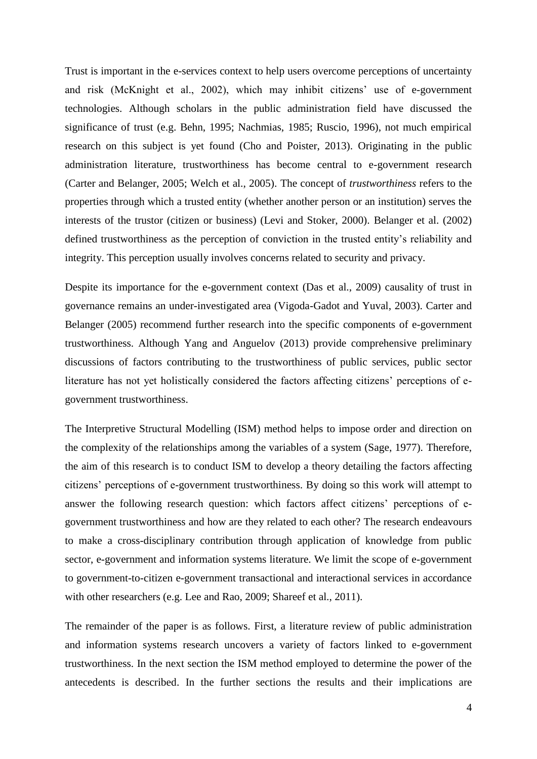Trust is important in the e-services context to help users overcome perceptions of uncertainty and risk (McKnight et al., 2002), which may inhibit citizens' use of e-government technologies. Although scholars in the public administration field have discussed the significance of trust (e.g. Behn, 1995; Nachmias, 1985; Ruscio, 1996), not much empirical research on this subject is yet found (Cho and Poister, 2013). Originating in the public administration literature, trustworthiness has become central to e-government research (Carter and Belanger, 2005; Welch et al., 2005). The concept of *trustworthiness* refers to the properties through which a trusted entity (whether another person or an institution) serves the interests of the trustor (citizen or business) (Levi and Stoker, 2000). Belanger et al. (2002) defined trustworthiness as the perception of conviction in the trusted entity's reliability and integrity. This perception usually involves concerns related to security and privacy.

Despite its importance for the e-government context (Das et al., 2009) causality of trust in governance remains an under-investigated area (Vigoda-Gadot and Yuval, 2003). Carter and Belanger (2005) recommend further research into the specific components of e-government trustworthiness. Although Yang and Anguelov (2013) provide comprehensive preliminary discussions of factors contributing to the trustworthiness of public services, public sector literature has not yet holistically considered the factors affecting citizens' perceptions of egovernment trustworthiness.

The Interpretive Structural Modelling (ISM) method helps to impose order and direction on the complexity of the relationships among the variables of a system (Sage, 1977). Therefore, the aim of this research is to conduct ISM to develop a theory detailing the factors affecting citizens' perceptions of e-government trustworthiness. By doing so this work will attempt to answer the following research question: which factors affect citizens' perceptions of egovernment trustworthiness and how are they related to each other? The research endeavours to make a cross-disciplinary contribution through application of knowledge from public sector, e-government and information systems literature. We limit the scope of e-government to government-to-citizen e-government transactional and interactional services in accordance with other researchers (e.g. Lee and Rao, 2009; Shareef et al., 2011).

The remainder of the paper is as follows. First, a literature review of public administration and information systems research uncovers a variety of factors linked to e-government trustworthiness. In the next section the ISM method employed to determine the power of the antecedents is described. In the further sections the results and their implications are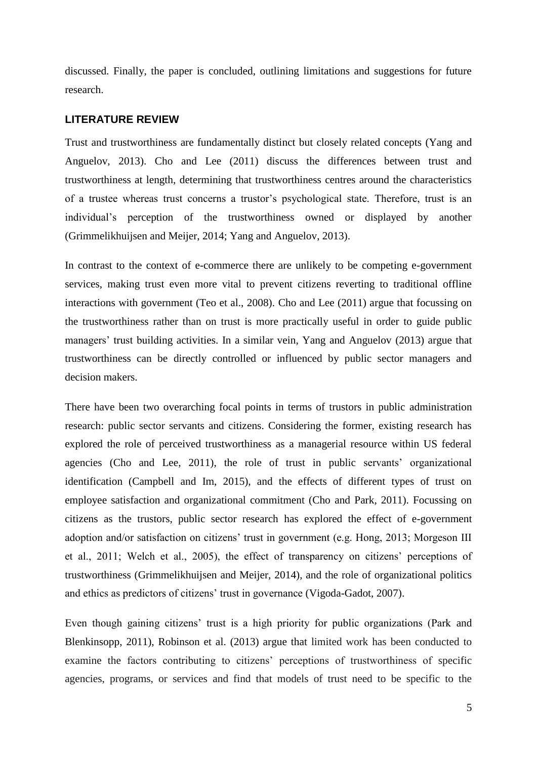discussed. Finally, the paper is concluded, outlining limitations and suggestions for future research.

## **LITERATURE REVIEW**

Trust and trustworthiness are fundamentally distinct but closely related concepts (Yang and Anguelov, 2013). Cho and Lee (2011) discuss the differences between trust and trustworthiness at length, determining that trustworthiness centres around the characteristics of a trustee whereas trust concerns a trustor's psychological state. Therefore, trust is an individual's perception of the trustworthiness owned or displayed by another (Grimmelikhuijsen and Meijer, 2014; Yang and Anguelov, 2013).

In contrast to the context of e-commerce there are unlikely to be competing e-government services, making trust even more vital to prevent citizens reverting to traditional offline interactions with government (Teo et al., 2008). Cho and Lee (2011) argue that focussing on the trustworthiness rather than on trust is more practically useful in order to guide public managers' trust building activities. In a similar vein, Yang and Anguelov (2013) argue that trustworthiness can be directly controlled or influenced by public sector managers and decision makers.

There have been two overarching focal points in terms of trustors in public administration research: public sector servants and citizens. Considering the former, existing research has explored the role of perceived trustworthiness as a managerial resource within US federal agencies (Cho and Lee, 2011), the role of trust in public servants' organizational identification (Campbell and Im, 2015), and the effects of different types of trust on employee satisfaction and organizational commitment (Cho and Park, 2011). Focussing on citizens as the trustors, public sector research has explored the effect of e-government adoption and/or satisfaction on citizens' trust in government (e.g. Hong, 2013; Morgeson III et al., 2011; Welch et al., 2005), the effect of transparency on citizens' perceptions of trustworthiness (Grimmelikhuijsen and Meijer, 2014), and the role of organizational politics and ethics as predictors of citizens' trust in governance (Vigoda-Gadot, 2007).

Even though gaining citizens' trust is a high priority for public organizations (Park and Blenkinsopp, 2011), Robinson et al. (2013) argue that limited work has been conducted to examine the factors contributing to citizens' perceptions of trustworthiness of specific agencies, programs, or services and find that models of trust need to be specific to the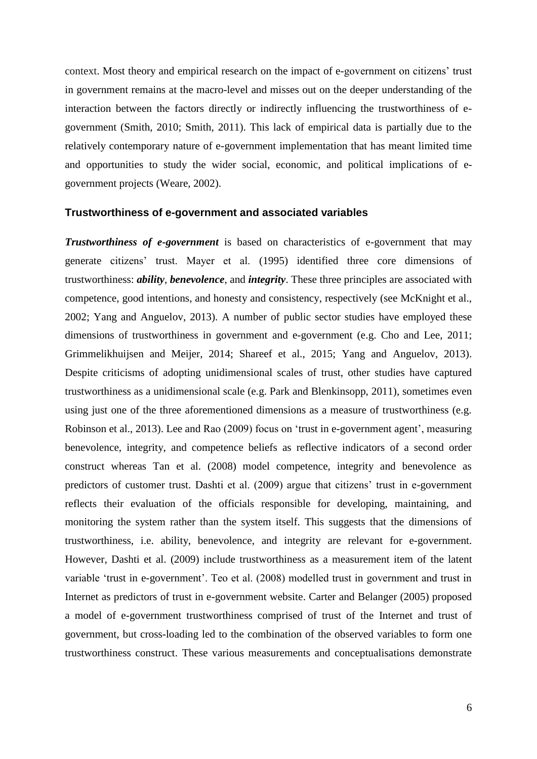context. Most theory and empirical research on the impact of e-government on citizens' trust in government remains at the macro-level and misses out on the deeper understanding of the interaction between the factors directly or indirectly influencing the trustworthiness of egovernment (Smith, 2010; Smith, 2011). This lack of empirical data is partially due to the relatively contemporary nature of e-government implementation that has meant limited time and opportunities to study the wider social, economic, and political implications of egovernment projects (Weare, 2002).

#### **Trustworthiness of e-government and associated variables**

*Trustworthiness of e-government* is based on characteristics of e-government that may generate citizens' trust. Mayer et al. (1995) identified three core dimensions of trustworthiness: *ability*, *benevolence*, and *integrity*. These three principles are associated with competence, good intentions, and honesty and consistency, respectively (see McKnight et al., 2002; Yang and Anguelov, 2013). A number of public sector studies have employed these dimensions of trustworthiness in government and e-government (e.g. Cho and Lee, 2011; Grimmelikhuijsen and Meijer, 2014; Shareef et al., 2015; Yang and Anguelov, 2013). Despite criticisms of adopting unidimensional scales of trust, other studies have captured trustworthiness as a unidimensional scale (e.g. Park and Blenkinsopp, 2011), sometimes even using just one of the three aforementioned dimensions as a measure of trustworthiness (e.g. Robinson et al., 2013). Lee and Rao (2009) focus on 'trust in e-government agent', measuring benevolence, integrity, and competence beliefs as reflective indicators of a second order construct whereas Tan et al. (2008) model competence, integrity and benevolence as predictors of customer trust. Dashti et al. (2009) argue that citizens' trust in e-government reflects their evaluation of the officials responsible for developing, maintaining, and monitoring the system rather than the system itself. This suggests that the dimensions of trustworthiness, i.e. ability, benevolence, and integrity are relevant for e-government. However, Dashti et al. (2009) include trustworthiness as a measurement item of the latent variable 'trust in e-government'. Teo et al. (2008) modelled trust in government and trust in Internet as predictors of trust in e-government website. Carter and Belanger (2005) proposed a model of e-government trustworthiness comprised of trust of the Internet and trust of government, but cross-loading led to the combination of the observed variables to form one trustworthiness construct. These various measurements and conceptualisations demonstrate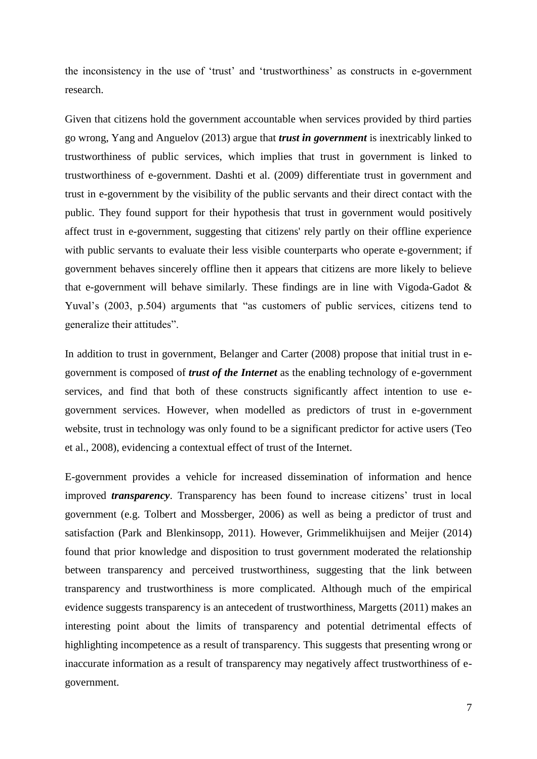the inconsistency in the use of 'trust' and 'trustworthiness' as constructs in e-government research.

Given that citizens hold the government accountable when services provided by third parties go wrong, Yang and Anguelov (2013) argue that *trust in government* is inextricably linked to trustworthiness of public services, which implies that trust in government is linked to trustworthiness of e-government. Dashti et al. (2009) differentiate trust in government and trust in e-government by the visibility of the public servants and their direct contact with the public. They found support for their hypothesis that trust in government would positively affect trust in e-government, suggesting that citizens' rely partly on their offline experience with public servants to evaluate their less visible counterparts who operate e-government; if government behaves sincerely offline then it appears that citizens are more likely to believe that e-government will behave similarly. These findings are in line with Vigoda-Gadot  $\&$ Yuval's (2003, p.504) arguments that "as customers of public services, citizens tend to generalize their attitudes".

In addition to trust in government, Belanger and Carter (2008) propose that initial trust in egovernment is composed of *trust of the Internet* as the enabling technology of e-government services, and find that both of these constructs significantly affect intention to use egovernment services. However, when modelled as predictors of trust in e-government website, trust in technology was only found to be a significant predictor for active users (Teo et al., 2008), evidencing a contextual effect of trust of the Internet.

E-government provides a vehicle for increased dissemination of information and hence improved *transparency*. Transparency has been found to increase citizens' trust in local government (e.g. Tolbert and Mossberger, 2006) as well as being a predictor of trust and satisfaction (Park and Blenkinsopp, 2011). However, Grimmelikhuijsen and Meijer (2014) found that prior knowledge and disposition to trust government moderated the relationship between transparency and perceived trustworthiness, suggesting that the link between transparency and trustworthiness is more complicated. Although much of the empirical evidence suggests transparency is an antecedent of trustworthiness, Margetts (2011) makes an interesting point about the limits of transparency and potential detrimental effects of highlighting incompetence as a result of transparency. This suggests that presenting wrong or inaccurate information as a result of transparency may negatively affect trustworthiness of egovernment.

7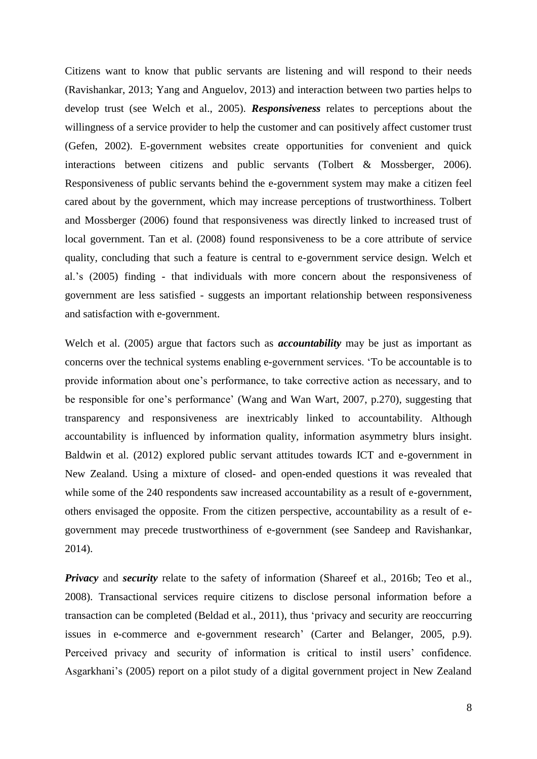Citizens want to know that public servants are listening and will respond to their needs (Ravishankar, 2013; Yang and Anguelov, 2013) and interaction between two parties helps to develop trust (see Welch et al., 2005). *Responsiveness* relates to perceptions about the willingness of a service provider to help the customer and can positively affect customer trust (Gefen, 2002). E-government websites create opportunities for convenient and quick interactions between citizens and public servants (Tolbert & Mossberger, 2006). Responsiveness of public servants behind the e-government system may make a citizen feel cared about by the government, which may increase perceptions of trustworthiness. Tolbert and Mossberger (2006) found that responsiveness was directly linked to increased trust of local government. Tan et al. (2008) found responsiveness to be a core attribute of service quality, concluding that such a feature is central to e-government service design. Welch et al.'s (2005) finding - that individuals with more concern about the responsiveness of government are less satisfied - suggests an important relationship between responsiveness and satisfaction with e-government.

Welch et al. (2005) argue that factors such as *accountability* may be just as important as concerns over the technical systems enabling e-government services. 'To be accountable is to provide information about one's performance, to take corrective action as necessary, and to be responsible for one's performance' (Wang and Wan Wart, 2007, p.270), suggesting that transparency and responsiveness are inextricably linked to accountability. Although accountability is influenced by information quality, information asymmetry blurs insight. Baldwin et al. (2012) explored public servant attitudes towards ICT and e-government in New Zealand. Using a mixture of closed- and open-ended questions it was revealed that while some of the 240 respondents saw increased accountability as a result of e-government, others envisaged the opposite. From the citizen perspective, accountability as a result of egovernment may precede trustworthiness of e-government (see Sandeep and Ravishankar, 2014).

*Privacy* and *security* relate to the safety of information (Shareef et al., 2016b; Teo et al., 2008). Transactional services require citizens to disclose personal information before a transaction can be completed (Beldad et al., 2011), thus 'privacy and security are reoccurring issues in e-commerce and e-government research' (Carter and Belanger, 2005, p.9). Perceived privacy and security of information is critical to instil users' confidence. Asgarkhani's (2005) report on a pilot study of a digital government project in New Zealand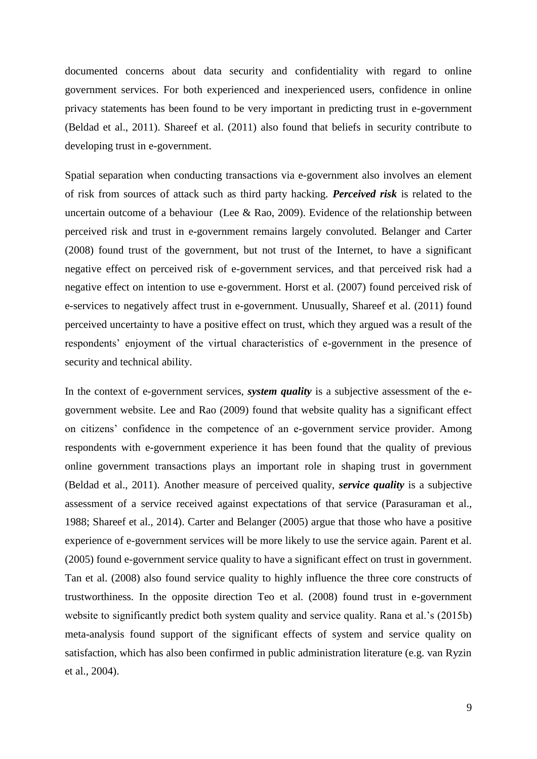documented concerns about data security and confidentiality with regard to online government services. For both experienced and inexperienced users, confidence in online privacy statements has been found to be very important in predicting trust in e-government (Beldad et al., 2011). Shareef et al. (2011) also found that beliefs in security contribute to developing trust in e-government.

Spatial separation when conducting transactions via e-government also involves an element of risk from sources of attack such as third party hacking. *Perceived risk* is related to the uncertain outcome of a behaviour (Lee & Rao, 2009). Evidence of the relationship between perceived risk and trust in e-government remains largely convoluted. Belanger and Carter (2008) found trust of the government, but not trust of the Internet, to have a significant negative effect on perceived risk of e-government services, and that perceived risk had a negative effect on intention to use e-government. Horst et al. (2007) found perceived risk of e-services to negatively affect trust in e-government. Unusually, Shareef et al. (2011) found perceived uncertainty to have a positive effect on trust, which they argued was a result of the respondents' enjoyment of the virtual characteristics of e-government in the presence of security and technical ability.

In the context of e-government services, *system quality* is a subjective assessment of the egovernment website. Lee and Rao (2009) found that website quality has a significant effect on citizens' confidence in the competence of an e-government service provider. Among respondents with e-government experience it has been found that the quality of previous online government transactions plays an important role in shaping trust in government (Beldad et al., 2011). Another measure of perceived quality, *service quality* is a subjective assessment of a service received against expectations of that service (Parasuraman et al., 1988; Shareef et al., 2014). Carter and Belanger (2005) argue that those who have a positive experience of e-government services will be more likely to use the service again. Parent et al. (2005) found e-government service quality to have a significant effect on trust in government. Tan et al. (2008) also found service quality to highly influence the three core constructs of trustworthiness. In the opposite direction Teo et al. (2008) found trust in e-government website to significantly predict both system quality and service quality. Rana et al.'s (2015b) meta-analysis found support of the significant effects of system and service quality on satisfaction, which has also been confirmed in public administration literature (e.g. van Ryzin et al., 2004).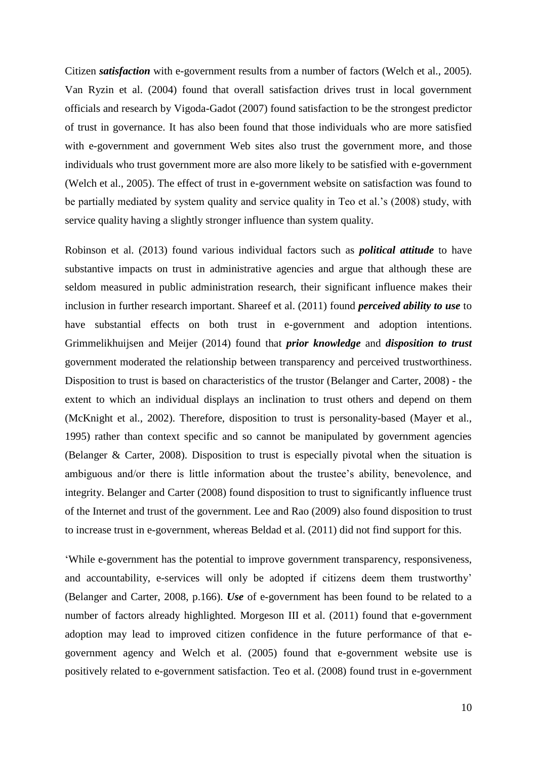Citizen *satisfaction* with e-government results from a number of factors (Welch et al., 2005). Van Ryzin et al. (2004) found that overall satisfaction drives trust in local government officials and research by Vigoda-Gadot (2007) found satisfaction to be the strongest predictor of trust in governance. It has also been found that those individuals who are more satisfied with e-government and government Web sites also trust the government more, and those individuals who trust government more are also more likely to be satisfied with e-government (Welch et al., 2005). The effect of trust in e-government website on satisfaction was found to be partially mediated by system quality and service quality in Teo et al.'s (2008) study, with service quality having a slightly stronger influence than system quality.

Robinson et al. (2013) found various individual factors such as *political attitude* to have substantive impacts on trust in administrative agencies and argue that although these are seldom measured in public administration research, their significant influence makes their inclusion in further research important. Shareef et al. (2011) found *perceived ability to use* to have substantial effects on both trust in e-government and adoption intentions. Grimmelikhuijsen and Meijer (2014) found that *prior knowledge* and *disposition to trust* government moderated the relationship between transparency and perceived trustworthiness. Disposition to trust is based on characteristics of the trustor (Belanger and Carter, 2008) - the extent to which an individual displays an inclination to trust others and depend on them (McKnight et al., 2002). Therefore, disposition to trust is personality-based (Mayer et al., 1995) rather than context specific and so cannot be manipulated by government agencies (Belanger & Carter, 2008). Disposition to trust is especially pivotal when the situation is ambiguous and/or there is little information about the trustee's ability, benevolence, and integrity. Belanger and Carter (2008) found disposition to trust to significantly influence trust of the Internet and trust of the government. Lee and Rao (2009) also found disposition to trust to increase trust in e-government, whereas Beldad et al. (2011) did not find support for this.

'While e-government has the potential to improve government transparency, responsiveness, and accountability, e-services will only be adopted if citizens deem them trustworthy' (Belanger and Carter, 2008, p.166). *Use* of e-government has been found to be related to a number of factors already highlighted. Morgeson III et al. (2011) found that e-government adoption may lead to improved citizen confidence in the future performance of that egovernment agency and Welch et al. (2005) found that e-government website use is positively related to e-government satisfaction. Teo et al. (2008) found trust in e-government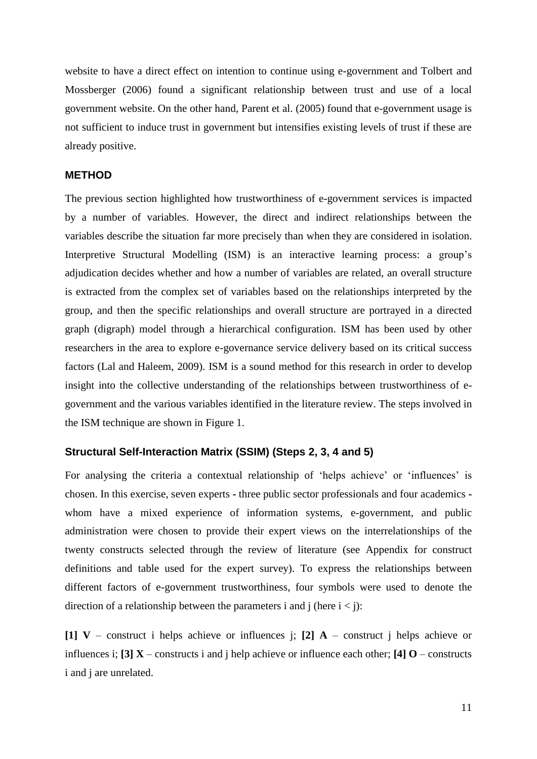website to have a direct effect on intention to continue using e-government and Tolbert and Mossberger (2006) found a significant relationship between trust and use of a local government website. On the other hand, Parent et al. (2005) found that e-government usage is not sufficient to induce trust in government but intensifies existing levels of trust if these are already positive.

## **METHOD**

The previous section highlighted how trustworthiness of e-government services is impacted by a number of variables. However, the direct and indirect relationships between the variables describe the situation far more precisely than when they are considered in isolation. Interpretive Structural Modelling (ISM) is an interactive learning process: a group's adjudication decides whether and how a number of variables are related, an overall structure is extracted from the complex set of variables based on the relationships interpreted by the group, and then the specific relationships and overall structure are portrayed in a directed graph (digraph) model through a hierarchical configuration. ISM has been used by other researchers in the area to explore e-governance service delivery based on its critical success factors (Lal and Haleem, 2009). ISM is a sound method for this research in order to develop insight into the collective understanding of the relationships between trustworthiness of egovernment and the various variables identified in the literature review. The steps involved in the ISM technique are shown in Figure 1.

## **Structural Self-Interaction Matrix (SSIM) (Steps 2, 3, 4 and 5)**

For analysing the criteria a contextual relationship of 'helps achieve' or 'influences' is chosen. In this exercise, seven experts **-** three public sector professionals and four academics  whom have a mixed experience of information systems, e-government, and public administration were chosen to provide their expert views on the interrelationships of the twenty constructs selected through the review of literature (see Appendix for construct definitions and table used for the expert survey). To express the relationships between different factors of e-government trustworthiness, four symbols were used to denote the direction of a relationship between the parameters i and j (here  $i < j$ ):

**[1] V** – construct i helps achieve or influences j; **[2] A** – construct j helps achieve or influences i; **[3]**  $X$  – constructs i and j help achieve or influence each other; **[4]**  $O$  – constructs i and j are unrelated.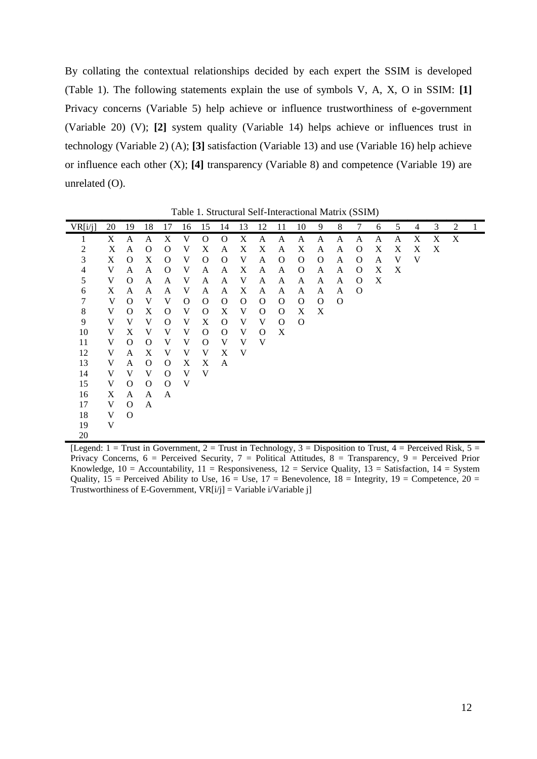By collating the contextual relationships decided by each expert the SSIM is developed (Table 1). The following statements explain the use of symbols V, A, X, O in SSIM: **[1]** Privacy concerns (Variable 5) help achieve or influence trustworthiness of e-government (Variable 20) (V); **[2]** system quality (Variable 14) helps achieve or influences trust in technology (Variable 2) (A); **[3]** satisfaction (Variable 13) and use (Variable 16) help achieve or influence each other (X); **[4]** transparency (Variable 8) and competence (Variable 19) are unrelated (O).

| VR[i/j]  | 20 | 19       | 18 | 17       | 16 | 15       | 14 | 13 | 12       | 11 | 10       | 9        | 8        | 7 | 6 | 5 | 4 | 3 | 2 |  |
|----------|----|----------|----|----------|----|----------|----|----|----------|----|----------|----------|----------|---|---|---|---|---|---|--|
| $\bf{l}$ | X  | A        | A  | X        | V  | O        | 0  | X  | A        | A  | A        | A        | A        | A | A | A | X | X | X |  |
| 2        | X  | A        | O  | O        | V  | X        | A  | X  | X        | A  | X        | A        | A        | O | X | X | X | X |   |  |
| 3        | X  | O        | X  | O        | V  | 0        | O  | V  | A        | O  | 0        | $\Omega$ | A        | O | A | V | V |   |   |  |
| 4        | V  | A        | A  | O        | V  | A        | A  | X  | A        | A  | $\Omega$ | A        | A        | O | X | X |   |   |   |  |
| 5        | V  | O        | A  | A        | V  | A        | A  | V  | A        | A  | A        | A        | A        | O | X |   |   |   |   |  |
| 6        | X  | A        | A  | A        | V  | A        | A  | X  | A        | A  | A        | A        | A        | O |   |   |   |   |   |  |
| 7        | V  | O        | V  | V        | O  | O        | 0  | 0  | O        | O  | O        | O        | $\Omega$ |   |   |   |   |   |   |  |
| 8        | V  | O        | X  | O        | V  | $\Omega$ | X  | V  | $\Omega$ | 0  | X        | X        |          |   |   |   |   |   |   |  |
| 9        | V  | V        | V  | O        | V  | X        | O  | V  | V        | O  | O        |          |          |   |   |   |   |   |   |  |
| 10       | V  | X        | V  | V        | V  | O        | O  | V  | O        | X  |          |          |          |   |   |   |   |   |   |  |
| 11       | V  | 0        | O  | V        | V  | O        | V  | V  | V        |    |          |          |          |   |   |   |   |   |   |  |
| 12       | V  | A        | X  | V        | V  | V        | X  | V  |          |    |          |          |          |   |   |   |   |   |   |  |
| 13       | V  | A        | O  | O        | X  | X        | A  |    |          |    |          |          |          |   |   |   |   |   |   |  |
| 14       | V  | V        | V  | $\Omega$ | V  | V        |    |    |          |    |          |          |          |   |   |   |   |   |   |  |
| 15       | V  | 0        | O  | O        | V  |          |    |    |          |    |          |          |          |   |   |   |   |   |   |  |
| 16       | X  | A        | A  | A        |    |          |    |    |          |    |          |          |          |   |   |   |   |   |   |  |
| 17       | V  | $\Omega$ | A  |          |    |          |    |    |          |    |          |          |          |   |   |   |   |   |   |  |
| 18       | V  | O        |    |          |    |          |    |    |          |    |          |          |          |   |   |   |   |   |   |  |
| 19       | V  |          |    |          |    |          |    |    |          |    |          |          |          |   |   |   |   |   |   |  |
| 20       |    |          |    |          |    |          |    |    |          |    |          |          |          |   |   |   |   |   |   |  |

Table 1. Structural Self-Interactional Matrix (SSIM)

[Legend:  $1 =$  Trust in Government,  $2 =$  Trust in Technology,  $3 =$  Disposition to Trust,  $4 =$  Perceived Risk,  $5 =$ Privacy Concerns, 6 = Perceived Security, 7 = Political Attitudes, 8 = Transparency, 9 = Perceived Prior Knowledge,  $10 =$  Accountability,  $11 =$  Responsiveness,  $12 =$  Service Quality,  $13 =$  Satisfaction,  $14 =$  System Quality, = Perceived Ability to Use,  $16$  = Use,  $17$  = Benevolence,  $18$  = Integrity,  $19$  = Competence,  $20$  = Trustworthiness of E-Government,  $VR[i/]=Variable i/Variable j$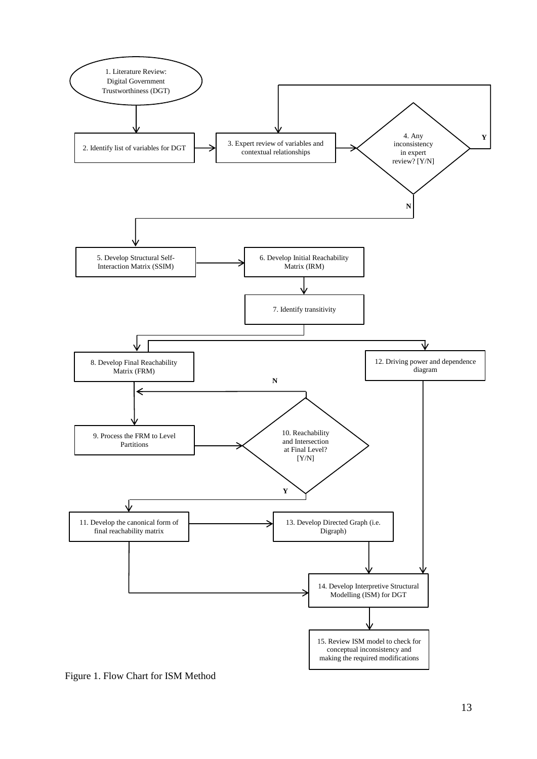

Figure 1. Flow Chart for ISM Method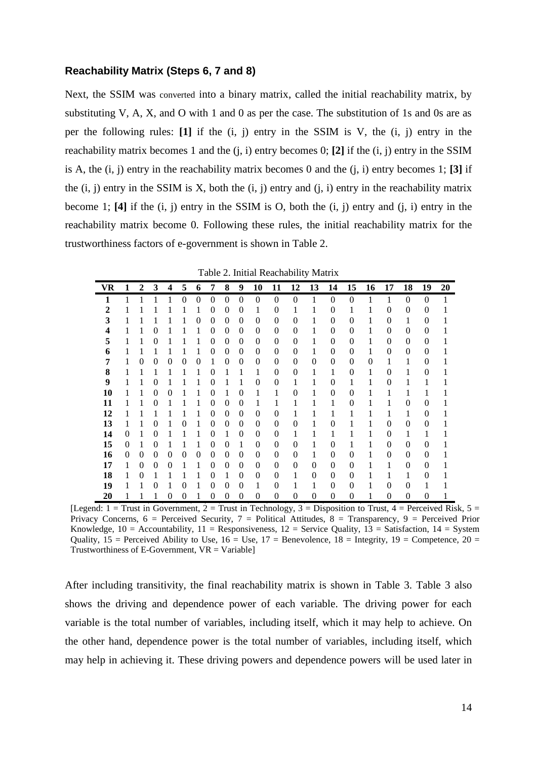#### **Reachability Matrix (Steps 6, 7 and 8)**

Next, the SSIM was converted into a binary matrix, called the initial reachability matrix, by substituting V, A, X, and O with 1 and 0 as per the case. The substitution of 1s and 0s are as per the following rules: **[1]** if the (i, j) entry in the SSIM is V, the (i, j) entry in the reachability matrix becomes 1 and the (j, i) entry becomes 0; **[2]** if the (i, j) entry in the SSIM is A, the (i, j) entry in the reachability matrix becomes 0 and the (j, i) entry becomes 1; **[3]** if the  $(i, j)$  entry in the SSIM is X, both the  $(i, j)$  entry and  $(i, i)$  entry in the reachability matrix become 1; **[4]** if the (i, j) entry in the SSIM is O, both the (i, j) entry and (j, i) entry in the reachability matrix become 0. Following these rules, the initial reachability matrix for the trustworthiness factors of e-government is shown in Table 2.

Table 2. Initial Reachability Matrix

| VR |   | 2        | 3                 | 4                 | 5                 | 6        | 7        | 8        | 9              | 10       | 11           | 12           | 13             | 14       | 15       | 16       | 17       | 18       | 19       | 20 |
|----|---|----------|-------------------|-------------------|-------------------|----------|----------|----------|----------------|----------|--------------|--------------|----------------|----------|----------|----------|----------|----------|----------|----|
| 1  |   |          |                   |                   | 0                 | 0        | $\Omega$ | $\theta$ | $\Omega$       | $\Omega$ | $\Omega$     | $\Omega$     |                | $\Omega$ | $\Omega$ |          |          | $\Omega$ | $\Omega$ |    |
| 2  | 1 |          |                   |                   |                   |          | $\theta$ | 0        | $\Omega$       | 1        | 0            | 1            | 1              | $\Omega$ |          |          | $\Omega$ | $\theta$ | 0        | 1  |
| 3  | 1 |          |                   |                   |                   | 0        | $\Omega$ | $\Omega$ | $\Omega$       | $\Omega$ | $\Omega$     | $\Omega$     | 1              | $\Omega$ | $\Omega$ |          | $\Omega$ | 1        | $\Omega$ | 1  |
| 4  | 1 |          | $\theta$          |                   |                   |          | $\theta$ | 0        | $\Omega$       | $\theta$ | $\theta$     | $\theta$     | 1              | $\theta$ | 0        | 1        | $\Omega$ | $\theta$ | 0        | 1  |
| 5  |   |          | $_{0}$            |                   |                   |          | $\theta$ | 0        | $\Omega$       | $\theta$ | $\theta$     | $\mathbf{0}$ | 1              | $\Omega$ | 0        |          | $\Omega$ | 0        | 0        |    |
| 6  | 1 |          |                   |                   |                   |          | $\Omega$ | 0        | $\Omega$       | $\Omega$ | $\theta$     | $\theta$     | 1              | $\Omega$ | $\Omega$ | 1        | $\Omega$ | $\Omega$ | 0        | 1  |
| 7  | 1 | 0        | $\Omega$          | 0                 | $\Omega$          | 0        | 1        | 0        | $\overline{0}$ | $\theta$ | 0            | $\theta$     | $\Omega$       | $\Omega$ | $\Omega$ | $\Omega$ | 1        | 1        | $\Omega$ | 1  |
| 8  | 1 |          |                   |                   |                   |          | 0        |          |                | 1        | $\theta$     | $\theta$     | 1              | 1        | 0        | 1        | $\Omega$ | 1        | 0        |    |
| 9  |   |          | $\mathbf{\Omega}$ |                   |                   |          | 0        |          |                | $\Omega$ | $\theta$     | 1            | 1              | $\Omega$ | 1        |          | $\Omega$ |          | 1        |    |
| 10 |   |          | $\theta$          | $\mathbf{\Omega}$ |                   |          | $\theta$ |          | $\Omega$       | 1        | 1            | $\Omega$     | 1              | $\Omega$ | 0        |          |          |          |          |    |
| 11 |   |          | 0                 |                   |                   |          | 0        | 0        | $\Omega$       | 1        | 1            | 1            | 1              | 1        | $\Omega$ |          |          | $\theta$ | $\Omega$ | 1  |
| 12 |   |          |                   |                   |                   |          | $\theta$ | 0        | $\Omega$       | $\theta$ | $\theta$     | 1            |                | 1        |          |          |          | 1        | 0        |    |
| 13 |   |          | $\mathbf{\Omega}$ |                   | $\mathbf{\Omega}$ |          | $\Omega$ | 0        | $\Omega$       | $\theta$ | 0            | $\Omega$     | 1              | $\Omega$ |          |          | $\Omega$ | $\Omega$ | 0        |    |
| 14 | 0 |          | $\theta$          |                   |                   |          | 0        | 1        | $\theta$       | $\theta$ | $\mathbf{0}$ | 1            |                | 1        |          |          | $\Omega$ | 1        | 1        |    |
| 15 | 0 |          | $\Omega$          |                   |                   |          | 0        | 0        | 1              | $\Omega$ | $\Omega$     | $\Omega$     | 1              | $\Omega$ | 1        | 1        | $\Omega$ | $\Omega$ | $\Omega$ | 1  |
| 16 | 0 | 0        | 0                 | $\theta$          | $\Omega$          | $\theta$ | $\theta$ | 0        | $\Omega$       | $\theta$ | 0            | $\theta$     | 1              | $\Omega$ | $\Omega$ | 1        | $\Omega$ | 0        | 0        | 1  |
| 17 | 1 | $\theta$ | $\theta$          | 0                 |                   |          | $\theta$ | $\theta$ | $\Omega$       | $\theta$ | 0            | $\theta$     | $\Omega$       | $\Omega$ | $\Omega$ |          |          | 0        | 0        |    |
| 18 | 1 | 0        |                   |                   |                   |          | 0        | 1        | $\Omega$       | $\Omega$ | $\mathbf{0}$ | 1            | $\Omega$       | $\Omega$ | $\Omega$ |          |          | 1        | $\Omega$ |    |
| 19 | 1 |          | $\theta$          | 1                 | $\Omega$          |          | $\Omega$ | 0        | $\Omega$       | 1        | $\theta$     | 1            | 1              | $\Omega$ | $\Omega$ | 1        | $\Omega$ | $\Omega$ | 1        |    |
| 20 |   |          |                   | 0                 | $\Omega$          |          | $\theta$ | 0        | $\theta$       | $\Omega$ | $\theta$     | $\theta$     | $\overline{0}$ | $\theta$ | $\theta$ |          | $\Omega$ | 0        | 0        |    |

[Legend: 1 = Trust in Government, 2 = Trust in Technology, 3 = Disposition to Trust, 4 = Perceived Risk, 5 = Privacy Concerns,  $6 =$  Perceived Security,  $7 =$  Political Attitudes,  $8 =$  Transparency,  $9 =$  Perceived Prior Knowledge,  $10 =$  Accountability,  $11 =$  Responsiveness,  $12 =$  Service Quality,  $13 =$  Satisfaction,  $14 =$  System Quality,  $15$  = Perceived Ability to Use,  $16$  = Use,  $17$  = Benevolence,  $18$  = Integrity,  $19$  = Competence,  $20$  = Trustworthiness of E-Government,  $VR = Variable$ 

After including transitivity, the final reachability matrix is shown in Table 3. Table 3 also shows the driving and dependence power of each variable. The driving power for each variable is the total number of variables, including itself, which it may help to achieve. On the other hand, dependence power is the total number of variables, including itself, which may help in achieving it. These driving powers and dependence powers will be used later in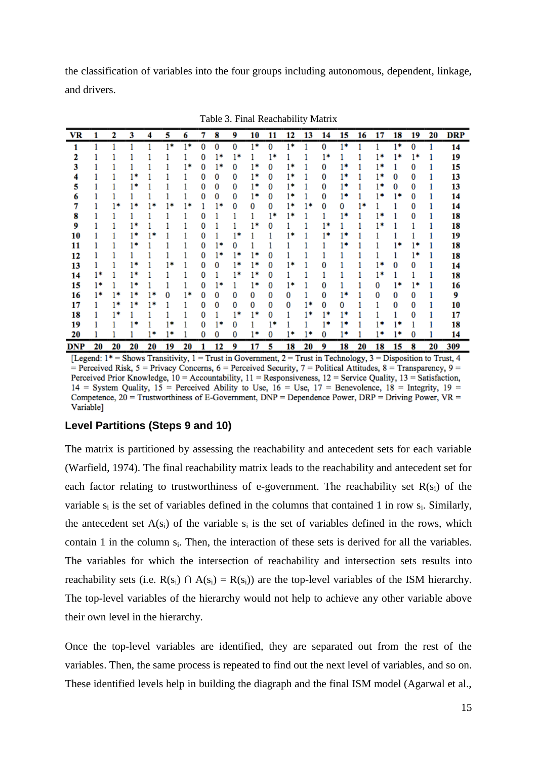the classification of variables into the four groups including autonomous, dependent, linkage, and drivers.

| VR           | 1    | 2   | 3  | 4  | 5    | 6    | 7 | 8    | 9  | 10       | 11   | 12   | 13  | 14 | 15   | 16 | 17 | 18   | 19 | 20 | <b>DRP</b> |
|--------------|------|-----|----|----|------|------|---|------|----|----------|------|------|-----|----|------|----|----|------|----|----|------------|
| $\mathbf{1}$ |      |     |    |    | $1*$ | $1*$ | 0 | 0    | 0  | 1*       | 0    | $1*$ |     | 0  | $1*$ |    |    | 1*   | 0  |    | 14         |
| 2            |      |     |    |    |      |      | 0 | $1*$ | ×  |          | 1*   |      |     | 1* |      |    | 1* | 1*   | *  |    | 19         |
| 3            |      |     |    |    |      | 1*   |   | 1*   | 0  | 1*       | o    | 1*   |     | 0  | ı*   |    | 1* |      | 0  |    | 15         |
| 4            |      |     |    |    |      |      | 0 | 0    | 0  | 1*       | 0    | 1*   |     | 0  | ı*   |    | 1* | 0    | 0  |    | 13         |
| 5            |      |     |    |    |      |      | 0 | 0    | 0  | 1*       | 0    | 1*   |     | 0  | 1*   |    | 1* | 0    | 0  |    | 13         |
| 6            |      |     |    |    |      |      | 0 | 0    | 0  | 1*       | 0    | 1*   |     | 0  | 1*   |    | 1* | $1*$ | 0  |    | 14         |
| 7            |      | 1*  |    |    | ÷    | ٠    |   | 1*   | 0  | $\Omega$ | 0    | 1*   |     | 0  | 0    |    |    |      | 0  |    | 14         |
| 8            |      |     |    |    |      |      |   |      |    |          | $1*$ | 1*   |     |    | 1*   |    | 1* |      | 0  |    | 18         |
| 9            |      |     |    |    |      |      |   |      |    | ٠        | n    |      |     | 1* |      |    | 1* |      |    |    | 18         |
| 10           |      |     | ≉  |    |      |      |   |      | 1* |          |      |      |     | 1* | 1*   |    |    |      |    |    | 19         |
| 11           |      |     |    |    |      |      | o | 1*   |    |          |      |      |     |    | 1*   |    |    | 1*   | ÷  |    | 18         |
| 12           |      |     |    |    |      |      | 0 | 1*   | 1* | ∗        | 0    |      |     |    |      |    |    |      | 1* |    | 18         |
| 13           |      |     | *  |    | 1*   |      | o | 0    | ≉  | *        | 0    | ÷    |     |    |      |    | l* | 0    | 0  |    | 14         |
| 14           | 1*   |     |    |    |      |      |   |      | ∗  | ∗        | 0    |      |     |    |      |    | 1* |      |    |    | 18         |
| 15           | ı*   |     |    |    |      |      |   | $1*$ |    | 1*       | 0    | 1*   |     | 0  |      |    | 0  | 1*   | 1* |    | 16         |
| 16           | $1*$ | 1 ≉ | ÷  |    |      | 1*   | 0 | 0    | 0  | $\bf{0}$ | 0    | 0    |     | 0  | ı*   |    | 0  | 0    | 0  |    | 9          |
| 17           |      | 1*  |    |    |      |      |   | 0    | 0  | $\Omega$ | 0    | 0    | 1*  | 0  | o    |    |    | 0    | 0  |    | 10         |
| 18           |      | 1*  |    |    |      |      |   |      | 1* | 1*       | o    |      | 1*  | 1* | 1*   |    |    |      | 0  |    | 17         |
| 19           |      |     |    |    | 1*   |      |   | 1*   | 0  |          | 1*   |      |     | 1* | 1*   |    | 1* | 1*   |    |    | 18         |
| 20           |      |     |    | ı* | 1*   |      | 0 | 0    | 0  | 1*       | 0    | ı*   | 1 ≉ | 0  | 1*   |    | ı* | l*   | 0  |    | 14         |
| DNP          | 20   | 20  | 20 | 20 | 19   | 20   | 1 | 12   | 9  | 17       | 5    | 18   | 20  | 9  | 18   | 20 | 18 | 15   | 8  | 20 | 309        |

Table 3. Final Reachability Matrix

[Legend:  $1*$  = Shows Transitivity,  $1 =$  Trust in Government,  $2 =$  Trust in Technology,  $3 =$  Disposition to Trust, 4 = Perceived Risk,  $5$  = Privacy Concerns,  $6$  = Perceived Security,  $7$  = Political Attitudes,  $8$  = Transparency,  $9$  = Perceived Prior Knowledge,  $10 =$  Accountability,  $11 =$  Responsiveness,  $12 =$  Service Quality,  $13 =$  Satisfaction, 14 = System Quality,  $15$  = Perceived Ability to Use,  $16$  = Use,  $17$  = Benevolence,  $18$  = Integrity,  $19$  = Competence,  $20 =$  Trustworthiness of E-Government,  $DNP =$  Dependence Power,  $DRP =$  Driving Power,  $VR =$ Variable]

#### **Level Partitions (Steps 9 and 10)**

The matrix is partitioned by assessing the reachability and antecedent sets for each variable (Warfield, 1974). The final reachability matrix leads to the reachability and antecedent set for each factor relating to trustworthiness of e-government. The reachability set  $R(s_i)$  of the variable  $s_i$  is the set of variables defined in the columns that contained 1 in row  $s_i$ . Similarly, the antecedent set  $A(s_i)$  of the variable  $s_i$  is the set of variables defined in the rows, which contain 1 in the column  $s_i$ . Then, the interaction of these sets is derived for all the variables. The variables for which the intersection of reachability and intersection sets results into reachability sets (i.e.  $R(s_i) \cap A(s_i) = R(s_i)$ ) are the top-level variables of the ISM hierarchy. The top-level variables of the hierarchy would not help to achieve any other variable above their own level in the hierarchy.

Once the top-level variables are identified, they are separated out from the rest of the variables. Then, the same process is repeated to find out the next level of variables, and so on. These identified levels help in building the diagraph and the final ISM model (Agarwal et al.,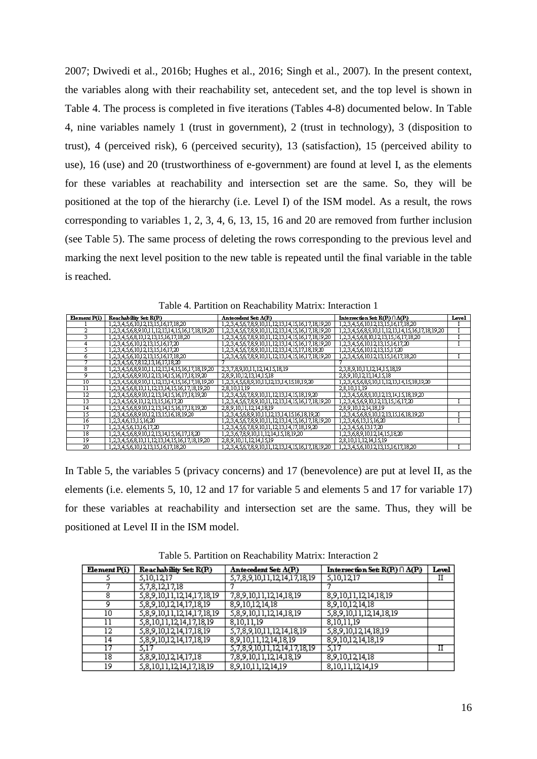2007; Dwivedi et al., 2016b; Hughes et al., 2016; Singh et al., 2007). In the present context, the variables along with their reachability set, antecedent set, and the top level is shown in Table 4. The process is completed in five iterations (Tables 4-8) documented below. In Table 4, nine variables namely 1 (trust in government), 2 (trust in technology), 3 (disposition to trust), 4 (perceived risk), 6 (perceived security), 13 (satisfaction), 15 (perceived ability to use), 16 (use) and 20 (trustworthiness of e-government) are found at level I, as the elements for these variables at reachability and intersection set are the same. So, they will be positioned at the top of the hierarchy (i.e. Level I) of the ISM model. As a result, the rows corresponding to variables 1, 2, 3, 4, 6, 13, 15, 16 and 20 are removed from further inclusion (see Table 5). The same process of deleting the rows corresponding to the previous level and marking the next level position to the new table is repeated until the final variable in the table is reached.

| Element P(i)    | Reachability Set R(P)                            | Antecedent Set: A(P)                                                  | Intersection Set: $R(P_i) \cap A(P_i)$                 | Level |
|-----------------|--------------------------------------------------|-----------------------------------------------------------------------|--------------------------------------------------------|-------|
|                 |                                                  |                                                                       |                                                        |       |
|                 | 1,2,3,4,5,6,10,12,13,15,16,17,18,20              | 1,2,3,4,5,6,7,8,9,10,11,12,13,14,15,16,17,18,19,20                    | 1,2,3,4,5,6,10,12,13,15,16,17,18,20                    |       |
|                 | 1,2,3,4,5,6,8,9,10,11,12,13,14,15,16,17,18,19,20 | 1,2,3,4,5,6,7,8,9,10,11,12,13,14,15,16,17,18,19,20                    | 1,2,3,4,5,6,8,9,10,11,12,13,14,15,16,17,18,19,20       |       |
| 3               | 1,2,3,4,5,6,8,10,12,13,15,16,17,18,20            | 1, 2, 3, 4, 5, 6, 7, 8, 9, 10, 11, 12, 13, 14, 15, 16, 17, 18, 19, 20 | 1,2,3,4,5,6,8,10,12,13,15,16,17,18,20                  |       |
|                 | 1,2,3,4,5,6,10,12,13,15,16,17,20                 | 1,2,3,4,5,6,7,8,9,10,11,12,13,14,15,16,17,18,19,20                    | 1,2,3,4,5,6,10,12,13,15,16,17,20                       |       |
|                 | 1,2,3,4,5,6,10,12,13,15,16,17,20                 | 1,2,3,4,5,6,7,8,9,10,11,12,13,14,15,17,18,19,20                       | 1,2,3,4,5,6,10,12,13,15,17,20                          |       |
| 6               | 1,2,3,4,5,6,10,12,13,15,16,17,18,20              | 1,2,3,4,5,6,7,8,9,10,11,12,13,14,15,16,17,18,19,20                    | 1,2,3,4,5,6,10,12,13,15,16,17,18,20                    |       |
|                 | 1,2,3,4,5,6,7,8,12,13,16,17,18,20                |                                                                       |                                                        |       |
| 8               | 1,2,3,4,5,6,8,9,10,11,12,13,14,15,16,17,18,19,20 | 2,3,7,8,9,10,11,12,14,15,18,19                                        | 2,3,8,9,10,11,12,14,15,18,19                           |       |
| 9               | 1,2,3,4,5,6,8,9,10,12,13,14,15,16,17,18,19,20    | 2,8,9,10,12,13,14,15,18                                               | 2,8,9,10,12,13,14,15,18                                |       |
| $\overline{10}$ | 1,2,3,4,5,6,8,9,10,11,12,13,14,15,16,17,18,19,20 | 1,2,3,4,5,6,8,9,10,11,12,13,14,15,18,19,20                            | 1,2,3,4,5,6,8,9,10,11,12,13,14,15,18,19,20             |       |
| 11              | 1,2,3,4,5,6,8,10,11,12,13,14,15,16,17,18,19,20   | 2,8,10,11,19                                                          | 2,8,10,11,19                                           |       |
| $\overline{12}$ | 1,2,3,4,5,6,8,9,10,12,13,14,15,16,17,18,19,20    | 1,2,3,4,5,6,7,8,9,10,11,12,13,14,15,18,19,20                          | 1, 2, 3, 4, 5, 6, 8, 9, 10, 12, 13, 14, 15, 18, 19, 20 |       |
| 13              | 1,2,3,4,5,6,9,10,12,13,15,16,17,20               | 1,2,3,4,5,6,7,8,9,10,11,12,13,14,15,16,17,18,19,20                    | 1,2,3,4,5,6,9,10,12,13,15,16,17,20                     |       |
| 14              | 1,2,3,4,5,6,8,9,10,12,13,14,15,16,17,18,19,20    | 2,8,9,10,11,12,14,18,19                                               | 2,8,9,10,12,14,18,19                                   |       |
| 15              | 1,2,3,4,5,6,8,9,10,12,13,15,16,18,19,20          | 1,2,3,4,5,6,8,9,10,11,12,13,14,15,16,18,19,20                         | 1, 2, 3, 4, 5, 6, 8, 9, 10, 12, 13, 15, 16, 18, 19, 20 |       |
| $\overline{16}$ | 1,2,3,4,6,13,15,16,20                            | 1,2,3,4,5,6,7,8,9,10,11,12,13,14,15,16,17,18,19,20                    | 1,2,3,4,6,13,15,16,20                                  |       |
| 17              | 1,2,3,4,5,6,13,16,17,20                          | 1,2,3,4,5,6,7,8,9,10,11,12,13,14,17,18,19,20                          | 1,2,3,4,5,6,13,17,20                                   |       |
| $\overline{18}$ | 1,2,3,4,5,6,8,9,10,12,13,14,15,16,17,18,20       | 1,2,3,6,7,8,9,10,11,12,14,15,18,19,20                                 | 1,2,3,6,8,9,10,12,14,15,18,20                          |       |
| 19              | 1,2,3,4,5,6,8,10,11,12,13,14,15,16,17,18,19,20   | 2,8,9,10,11,12,14,15,19                                               | 2,8,10,11,12,14,15,19                                  |       |
| 20              | 1, 2, 3, 4, 5, 6, 10, 12, 13, 15, 16, 17, 18, 20 | 1, 2, 3, 4, 5, 6, 7, 8, 9, 10, 11, 12, 13, 14, 15, 16, 17, 18, 19, 20 | 1,2,3,4,5,6,10,12,13,15,16,17,18,20                    |       |

Table 4. Partition on Reachability Matrix: Interaction 1

In Table 5, the variables 5 (privacy concerns) and 17 (benevolence) are put at level II, as the elements (i.e. elements 5, 10, 12 and 17 for variable 5 and elements 5 and 17 for variable 17) for these variables at reachability and intersection set are the same. Thus, they will be positioned at Level II in the ISM model.

| Element P(i) | <b>Reachability Set: R(P)</b>       | Antecedent Set: A(Pi)                  | Intersection Set: $R(P_i) \cap A(P_i)$ | Level |
|--------------|-------------------------------------|----------------------------------------|----------------------------------------|-------|
|              | 5,10,12,17                          | 5, 7, 8, 9, 10, 11, 12, 14, 17, 18, 19 | 5,10,12,17                             |       |
|              | 5,7,8,12,17,18                      |                                        |                                        |       |
| 8            | 5, 8, 9, 10, 11, 12, 14, 17, 18, 19 | 7,8,9,10,11,12,14,18,19                | 8,9,10,11,12,14,18,19                  |       |
| 9            | 5,8,9,10,12,14,17,18,19             | 8,9,10,12,14,18                        | 8,9,10,12,14,18                        |       |
| 10.          | 5,8,9,10,11,12,14,17,18,19          | 5,8,9,10,11,12,14,18,19                | 5,8,9,10,11,12,14,18,19                |       |
| 11           | 5,8,10,11,12,14,17,18,19            | 8,10,11,19                             | 8,10,11,19                             |       |
| 12           | 5,8,9,10,12,14,17,18,19             | 5,7,8,9,10,11,12,14,18,19              | 5,8,9,10,12,14,18,19                   |       |
| 14           | 5,8,9,10,12,14,17,18,19             | 8,9,10,11,12,14,18,19                  | 8,9,10,12,14,18,19                     |       |
| 17           | 5.17                                | 5,7,8,9,10,11,12,14,17,18,19           | 5,17                                   | п     |
| 18           | 5,8,9,10,12,14,17,18                | 7,8,9,10,11,12,14,18,19                | 8,9,10,12,14,18                        |       |
| 19           | 5,8,10,11,12,14,17,18,19            | 8,9,10,11,12,14,19                     | 8, 10, 11, 12, 14, 19                  |       |

Table 5. Partition on Reachability Matrix: Interaction 2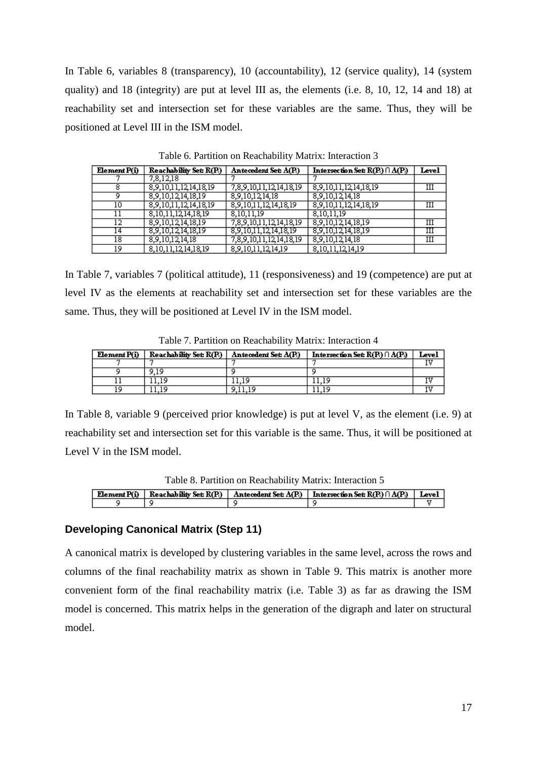In Table 6, variables 8 (transparency), 10 (accountability), 12 (service quality), 14 (system quality) and 18 (integrity) are put at level III as, the elements (i.e. 8, 10, 12, 14 and 18) at reachability set and intersection set for these variables are the same. Thus, they will be positioned at Level III in the ISM model.

| Element P(i) | Reachability Set: R(P)    | Antecedent Set: A(P)    | Intersection Set: $R(P_i) \cap A(P_i)$ | Level |
|--------------|---------------------------|-------------------------|----------------------------------------|-------|
|              | 7,8,12,18                 |                         |                                        |       |
| 8            | 8,9,10,11,12,14,18,19     | 7,8,9,10,11,12,14,18,19 | 8,9,10,11,12,14,18,19                  | Ш     |
| 9            | 8,9,10,12,14,18,19        | 8,9,10,12,14,18         | 8,9,10,12,14,18                        |       |
| 10           | 8,9,10,11,12,14,18,19     | 8,9,10,11,12,14,18,19   | 8,9,10,11,12,14,18,19                  | Ш     |
| 11           | 8, 10, 11, 12, 14, 18, 19 | 8,10,11,19              | 8,10,11,19                             |       |
| 12           | 8,9,10,12,14,18,19        | 7,8,9,10,11,12,14,18,19 | 8,9,10,12,14,18,19                     | Ш     |
| 14           | 8,9,10,12,14,18,19        | 8,9,10,11,12,14,18,19   | 8,9,10,12,14,18,19                     |       |
| 18           | 8,9,10,12,14,18           | 7,8,9,10,11,12,14,18,19 | 8,9,10,12,14,18                        | Ш     |
| 19           | 8, 10, 11, 12, 14, 18, 19 | 8,9,10,11,12,14,19      | 8, 10, 11, 12, 14, 19                  |       |

Table 6. Partition on Reachability Matrix: Interaction 3

In Table 7, variables 7 (political attitude), 11 (responsiveness) and 19 (competence) are put at level IV as the elements at reachability set and intersection set for these variables are the same. Thus, they will be positioned at Level IV in the ISM model.

| Element P(i) | Reachability Set $R(P_i)$   Antecedent Set $A(P_i)$ | Intersection Set: $R(P_i) \cap A(P_i)$ | Level |
|--------------|-----------------------------------------------------|----------------------------------------|-------|
|              |                                                     |                                        |       |
|              | 9.19                                                |                                        |       |
|              | .1.19                                               | -1,19                                  |       |
| 19           | 1 C                                                 |                                        |       |

Table 7. Partition on Reachability Matrix: Interaction 4

In Table 8, variable 9 (perceived prior knowledge) is put at level V, as the element (i.e. 9) at reachability set and intersection set for this variable is the same. Thus, it will be positioned at Level V in the ISM model.

| Table 6. Farthfull on Reachability Matrix. Interaction 5 |  |  |                                                                                                          |  |  |  |  |  |  |  |  |  |  |
|----------------------------------------------------------|--|--|----------------------------------------------------------------------------------------------------------|--|--|--|--|--|--|--|--|--|--|
|                                                          |  |  | Element P(i)   Reachability Set: R(P;)   Antecedent Set: A(P;)   Intersection Set: R(P;)   A(P;)   Level |  |  |  |  |  |  |  |  |  |  |
|                                                          |  |  |                                                                                                          |  |  |  |  |  |  |  |  |  |  |

### Table 8. Partition on Reachability Matrix: Interaction 5

## **Developing Canonical Matrix (Step 11)**

A canonical matrix is developed by clustering variables in the same level, across the rows and columns of the final reachability matrix as shown in Table 9. This matrix is another more convenient form of the final reachability matrix (i.e. Table 3) as far as drawing the ISM model is concerned. This matrix helps in the generation of the digraph and later on structural model.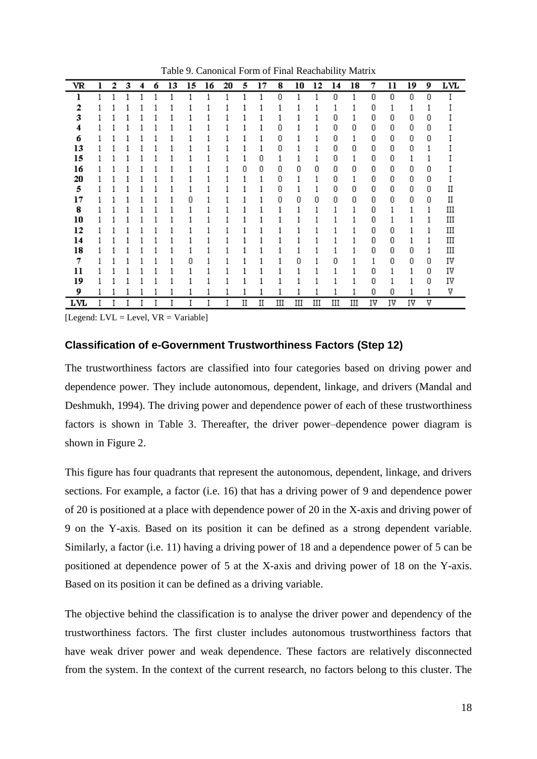| VR  | ı | 2 | з | 4 | 6 | 13 | 15 | 16 | 20 | 5           | 17          | 8 | 10 | 12 | 14  | 18  | 7  | 11 | 19 | 9 | LVL       |
|-----|---|---|---|---|---|----|----|----|----|-------------|-------------|---|----|----|-----|-----|----|----|----|---|-----------|
| 1   |   |   |   |   |   |    |    |    |    |             |             | 0 |    |    | 0   |     | 0  | 0  | 0  | 0 |           |
| 2   |   |   |   |   |   |    |    |    |    |             |             |   |    |    |     |     | 0  |    | 1  |   |           |
| 3   |   |   |   |   |   |    |    |    |    |             |             |   |    |    | 0   |     | 0  | 0  | 0  | 0 |           |
| 4   |   |   |   |   |   |    |    |    |    |             |             | 0 |    |    | 0   | 0   | 0  | 0  | 0  | 0 |           |
| 6   |   |   |   |   |   |    |    |    |    |             |             | 0 |    |    | 0   |     | 0  | 0  | 0  | 0 |           |
| 13  |   |   |   |   |   |    |    |    |    |             |             | 0 |    |    | 0   | 0   | 0  | 0  | 0  |   |           |
| 15  |   |   |   |   |   |    |    |    |    |             | 0           |   |    |    | 0   |     | 0  | 0  |    |   |           |
| 16  |   |   |   |   |   |    |    |    |    | Ο           | 0           | 0 | Ο  | 0  | 0   | 0   | 0  | 0  | 0  | 0 |           |
| 20  |   |   |   |   |   |    |    |    |    |             |             | 0 |    |    | 0   | 1   | 0  | 0  | 0  | 0 |           |
| 5   |   |   |   |   |   |    |    |    |    |             |             | 0 |    |    | 0   | 0   | 0  | 0  | 0  | 0 | П         |
| 17  |   |   |   |   |   |    | Ο  |    |    |             |             | 0 | Ο  | 0  | 0   | 0   | 0  | 0  | 0  | 0 | П         |
| 8   |   |   |   |   |   |    |    |    |    |             |             |   |    |    |     |     | 0  |    |    |   | Ш         |
| 10  |   |   |   |   |   |    |    |    |    |             |             |   |    |    |     |     | 0  |    |    |   | $\rm III$ |
| 12  |   |   |   |   |   |    |    |    |    |             |             |   |    |    |     |     | 0  | 0  |    |   | III       |
| 14  |   |   |   |   |   |    |    |    |    |             |             |   |    |    |     |     | 0  | 0  |    |   | Ш         |
| 18  |   |   |   |   |   |    |    |    |    |             |             |   |    |    |     |     | 0  | 0  | 0  |   | $\rm III$ |
| 7   |   |   |   |   |   |    | 0  |    |    |             |             |   | Ο  |    | 0   |     |    | 0  | 0  | 0 | IV        |
| 11  |   |   |   |   |   |    |    |    |    |             |             |   |    |    |     |     | 0  |    | 1  | 0 | IV        |
| 19  |   |   |   |   |   |    |    |    |    |             |             |   |    |    |     |     | 0  |    |    | 0 | IV        |
| 9   |   |   |   |   |   |    |    |    |    |             |             |   |    |    |     |     | 0  | 0  |    |   | V         |
| LVL |   |   |   |   |   |    |    |    |    | $_{\rm II}$ | $_{\rm II}$ | Ш | Ш  | Ш  | III | III | IV | IV | IV | V |           |

Table 9. Canonical Form of Final Reachability Matrix

[Legend:  $LVL = Level$ ,  $VR = Variable$ ]

## **Classification of e-Government Trustworthiness Factors (Step 12)**

The trustworthiness factors are classified into four categories based on driving power and dependence power. They include autonomous, dependent, linkage, and drivers (Mandal and Deshmukh, 1994). The driving power and dependence power of each of these trustworthiness factors is shown in Table 3. Thereafter, the driver power–dependence power diagram is shown in Figure 2.

This figure has four quadrants that represent the autonomous, dependent, linkage, and drivers sections. For example, a factor (i.e. 16) that has a driving power of 9 and dependence power of 20 is positioned at a place with dependence power of 20 in the X-axis and driving power of 9 on the Y-axis. Based on its position it can be defined as a strong dependent variable. Similarly, a factor (i.e. 11) having a driving power of 18 and a dependence power of 5 can be positioned at dependence power of 5 at the X-axis and driving power of 18 on the Y-axis. Based on its position it can be defined as a driving variable.

The objective behind the classification is to analyse the driver power and dependency of the trustworthiness factors. The first cluster includes autonomous trustworthiness factors that have weak driver power and weak dependence. These factors are relatively disconnected from the system. In the context of the current research, no factors belong to this cluster. The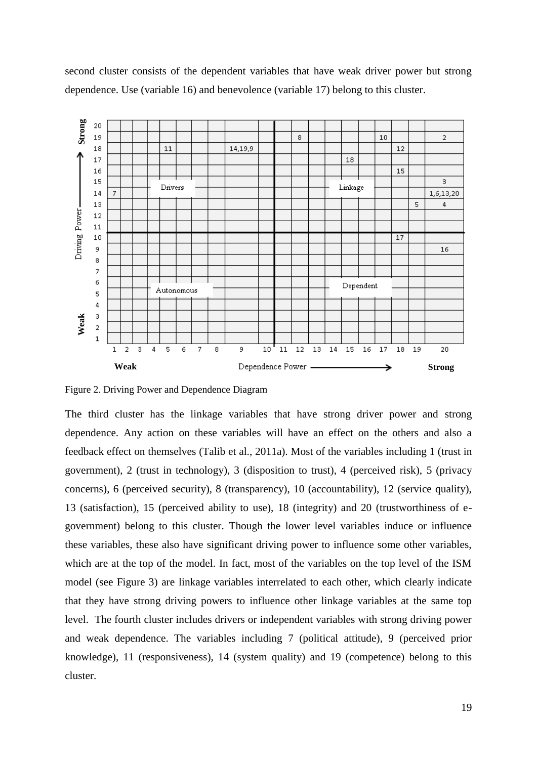second cluster consists of the dependent variables that have weak driver power but strong dependence. Use (variable 16) and benevolence (variable 17) belong to this cluster.



Figure 2. Driving Power and Dependence Diagram

The third cluster has the linkage variables that have strong driver power and strong dependence. Any action on these variables will have an effect on the others and also a feedback effect on themselves (Talib et al., 2011a). Most of the variables including 1 (trust in government), 2 (trust in technology), 3 (disposition to trust), 4 (perceived risk), 5 (privacy concerns), 6 (perceived security), 8 (transparency), 10 (accountability), 12 (service quality), 13 (satisfaction), 15 (perceived ability to use), 18 (integrity) and 20 (trustworthiness of egovernment) belong to this cluster. Though the lower level variables induce or influence these variables, these also have significant driving power to influence some other variables, which are at the top of the model. In fact, most of the variables on the top level of the ISM model (see Figure 3) are linkage variables interrelated to each other, which clearly indicate that they have strong driving powers to influence other linkage variables at the same top level. The fourth cluster includes drivers or independent variables with strong driving power and weak dependence. The variables including 7 (political attitude), 9 (perceived prior knowledge), 11 (responsiveness), 14 (system quality) and 19 (competence) belong to this cluster.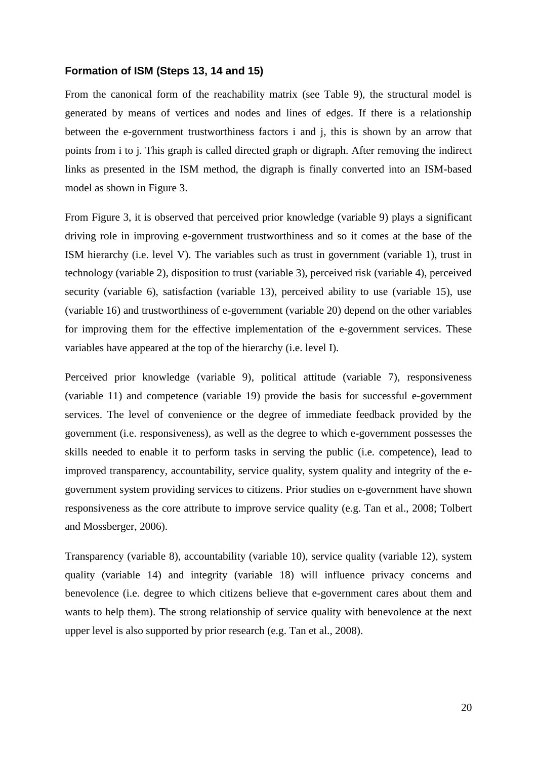#### **Formation of ISM (Steps 13, 14 and 15)**

From the canonical form of the reachability matrix (see Table 9), the structural model is generated by means of vertices and nodes and lines of edges. If there is a relationship between the e-government trustworthiness factors i and j, this is shown by an arrow that points from i to j. This graph is called directed graph or digraph. After removing the indirect links as presented in the ISM method, the digraph is finally converted into an ISM-based model as shown in Figure 3.

From Figure 3, it is observed that perceived prior knowledge (variable 9) plays a significant driving role in improving e-government trustworthiness and so it comes at the base of the ISM hierarchy (i.e. level V). The variables such as trust in government (variable 1), trust in technology (variable 2), disposition to trust (variable 3), perceived risk (variable 4), perceived security (variable 6), satisfaction (variable 13), perceived ability to use (variable 15), use (variable 16) and trustworthiness of e-government (variable 20) depend on the other variables for improving them for the effective implementation of the e-government services. These variables have appeared at the top of the hierarchy (i.e. level I).

Perceived prior knowledge (variable 9), political attitude (variable 7), responsiveness (variable 11) and competence (variable 19) provide the basis for successful e-government services. The level of convenience or the degree of immediate feedback provided by the government (i.e. responsiveness), as well as the degree to which e-government possesses the skills needed to enable it to perform tasks in serving the public (i.e. competence), lead to improved transparency, accountability, service quality, system quality and integrity of the egovernment system providing services to citizens. Prior studies on e-government have shown responsiveness as the core attribute to improve service quality (e.g. Tan et al., 2008; Tolbert and Mossberger, 2006).

Transparency (variable 8), accountability (variable 10), service quality (variable 12), system quality (variable 14) and integrity (variable 18) will influence privacy concerns and benevolence (i.e. degree to which citizens believe that e-government cares about them and wants to help them). The strong relationship of service quality with benevolence at the next upper level is also supported by prior research (e.g. Tan et al., 2008).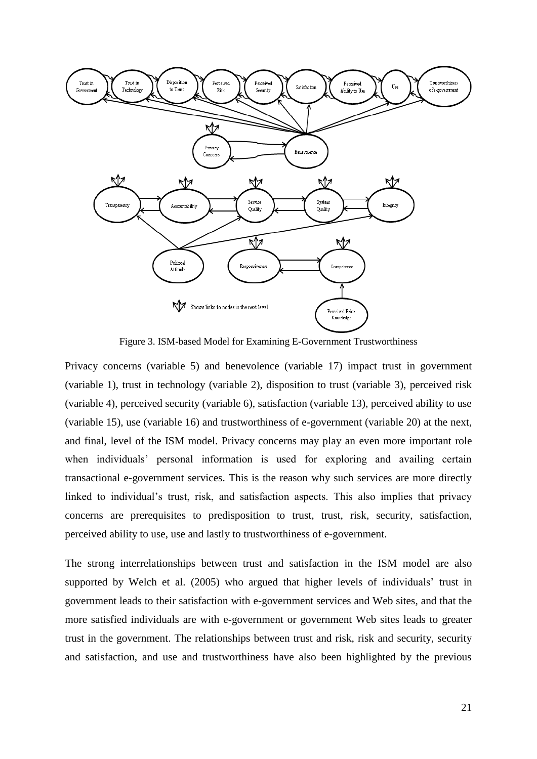

Figure 3. ISM-based Model for Examining E-Government Trustworthiness

Privacy concerns (variable 5) and benevolence (variable 17) impact trust in government (variable 1), trust in technology (variable 2), disposition to trust (variable 3), perceived risk (variable 4), perceived security (variable 6), satisfaction (variable 13), perceived ability to use (variable 15), use (variable 16) and trustworthiness of e-government (variable 20) at the next, and final, level of the ISM model. Privacy concerns may play an even more important role when individuals' personal information is used for exploring and availing certain transactional e-government services. This is the reason why such services are more directly linked to individual's trust, risk, and satisfaction aspects. This also implies that privacy concerns are prerequisites to predisposition to trust, trust, risk, security, satisfaction, perceived ability to use, use and lastly to trustworthiness of e-government.

The strong interrelationships between trust and satisfaction in the ISM model are also supported by Welch et al. (2005) who argued that higher levels of individuals' trust in government leads to their satisfaction with e-government services and Web sites, and that the more satisfied individuals are with e-government or government Web sites leads to greater trust in the government. The relationships between trust and risk, risk and security, security and satisfaction, and use and trustworthiness have also been highlighted by the previous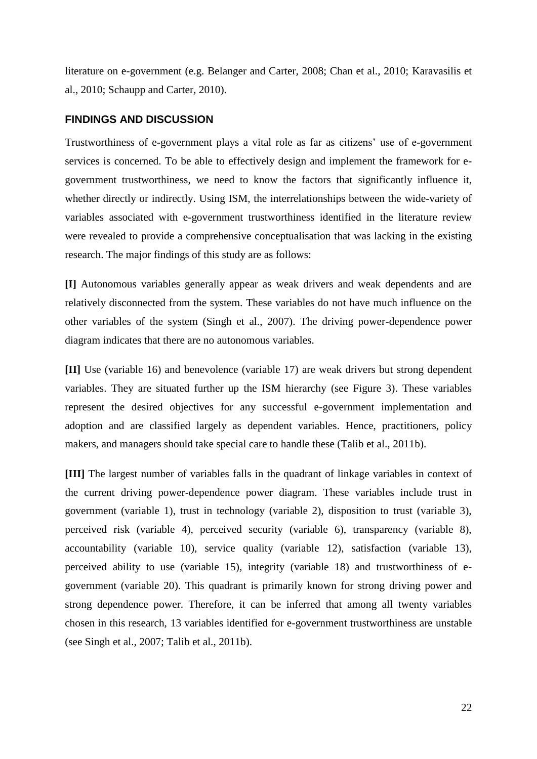literature on e-government (e.g. Belanger and Carter, 2008; Chan et al., 2010; Karavasilis et al., 2010; Schaupp and Carter, 2010).

#### **FINDINGS AND DISCUSSION**

Trustworthiness of e-government plays a vital role as far as citizens' use of e-government services is concerned. To be able to effectively design and implement the framework for egovernment trustworthiness, we need to know the factors that significantly influence it, whether directly or indirectly. Using ISM, the interrelationships between the wide-variety of variables associated with e-government trustworthiness identified in the literature review were revealed to provide a comprehensive conceptualisation that was lacking in the existing research. The major findings of this study are as follows:

**[I]** Autonomous variables generally appear as weak drivers and weak dependents and are relatively disconnected from the system. These variables do not have much influence on the other variables of the system (Singh et al., 2007). The driving power-dependence power diagram indicates that there are no autonomous variables.

**[II]** Use (variable 16) and benevolence (variable 17) are weak drivers but strong dependent variables. They are situated further up the ISM hierarchy (see Figure 3). These variables represent the desired objectives for any successful e-government implementation and adoption and are classified largely as dependent variables. Hence, practitioners, policy makers, and managers should take special care to handle these (Talib et al., 2011b).

**[III]** The largest number of variables falls in the quadrant of linkage variables in context of the current driving power-dependence power diagram. These variables include trust in government (variable 1), trust in technology (variable 2), disposition to trust (variable 3), perceived risk (variable 4), perceived security (variable 6), transparency (variable 8), accountability (variable 10), service quality (variable 12), satisfaction (variable 13), perceived ability to use (variable 15), integrity (variable 18) and trustworthiness of egovernment (variable 20). This quadrant is primarily known for strong driving power and strong dependence power. Therefore, it can be inferred that among all twenty variables chosen in this research, 13 variables identified for e-government trustworthiness are unstable (see Singh et al., 2007; Talib et al., 2011b).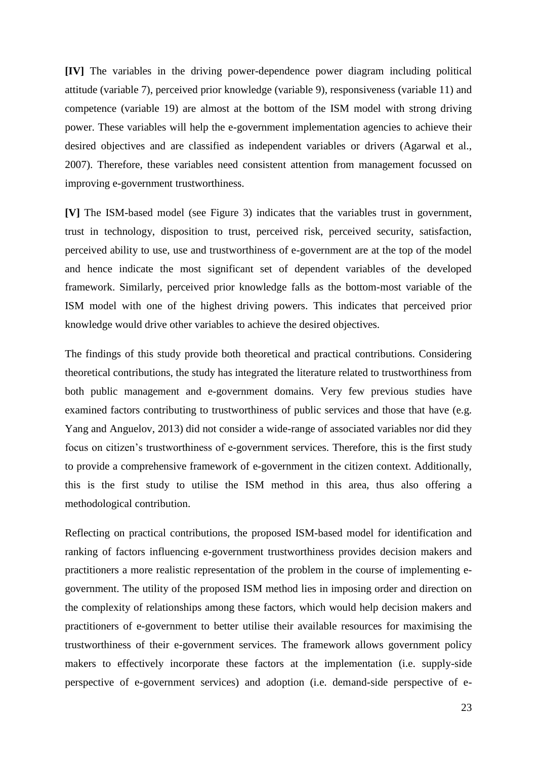**[IV]** The variables in the driving power-dependence power diagram including political attitude (variable 7), perceived prior knowledge (variable 9), responsiveness (variable 11) and competence (variable 19) are almost at the bottom of the ISM model with strong driving power. These variables will help the e-government implementation agencies to achieve their desired objectives and are classified as independent variables or drivers (Agarwal et al., 2007). Therefore, these variables need consistent attention from management focussed on improving e-government trustworthiness.

**[V]** The ISM-based model (see Figure 3) indicates that the variables trust in government, trust in technology, disposition to trust, perceived risk, perceived security, satisfaction, perceived ability to use, use and trustworthiness of e-government are at the top of the model and hence indicate the most significant set of dependent variables of the developed framework. Similarly, perceived prior knowledge falls as the bottom-most variable of the ISM model with one of the highest driving powers. This indicates that perceived prior knowledge would drive other variables to achieve the desired objectives.

The findings of this study provide both theoretical and practical contributions. Considering theoretical contributions, the study has integrated the literature related to trustworthiness from both public management and e-government domains. Very few previous studies have examined factors contributing to trustworthiness of public services and those that have (e.g. Yang and Anguelov, 2013) did not consider a wide-range of associated variables nor did they focus on citizen's trustworthiness of e-government services. Therefore, this is the first study to provide a comprehensive framework of e-government in the citizen context. Additionally, this is the first study to utilise the ISM method in this area, thus also offering a methodological contribution.

Reflecting on practical contributions, the proposed ISM-based model for identification and ranking of factors influencing e-government trustworthiness provides decision makers and practitioners a more realistic representation of the problem in the course of implementing egovernment. The utility of the proposed ISM method lies in imposing order and direction on the complexity of relationships among these factors, which would help decision makers and practitioners of e-government to better utilise their available resources for maximising the trustworthiness of their e-government services. The framework allows government policy makers to effectively incorporate these factors at the implementation (i.e. supply-side perspective of e-government services) and adoption (i.e. demand-side perspective of e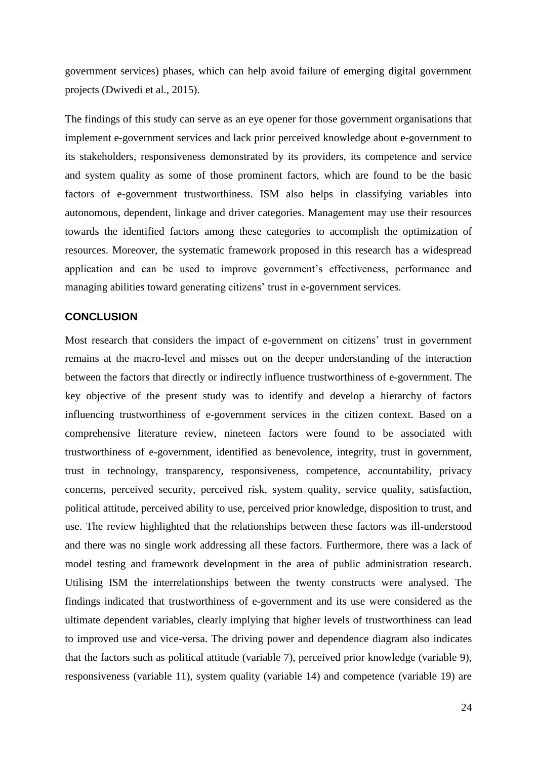government services) phases, which can help avoid failure of emerging digital government projects (Dwivedi et al., 2015).

The findings of this study can serve as an eye opener for those government organisations that implement e-government services and lack prior perceived knowledge about e-government to its stakeholders, responsiveness demonstrated by its providers, its competence and service and system quality as some of those prominent factors, which are found to be the basic factors of e-government trustworthiness. ISM also helps in classifying variables into autonomous, dependent, linkage and driver categories. Management may use their resources towards the identified factors among these categories to accomplish the optimization of resources. Moreover, the systematic framework proposed in this research has a widespread application and can be used to improve government's effectiveness, performance and managing abilities toward generating citizens' trust in e-government services.

## **CONCLUSION**

Most research that considers the impact of e-government on citizens' trust in government remains at the macro-level and misses out on the deeper understanding of the interaction between the factors that directly or indirectly influence trustworthiness of e-government. The key objective of the present study was to identify and develop a hierarchy of factors influencing trustworthiness of e-government services in the citizen context. Based on a comprehensive literature review, nineteen factors were found to be associated with trustworthiness of e-government, identified as benevolence, integrity, trust in government, trust in technology, transparency, responsiveness, competence, accountability, privacy concerns, perceived security, perceived risk, system quality, service quality, satisfaction, political attitude, perceived ability to use, perceived prior knowledge, disposition to trust, and use. The review highlighted that the relationships between these factors was ill-understood and there was no single work addressing all these factors. Furthermore, there was a lack of model testing and framework development in the area of public administration research. Utilising ISM the interrelationships between the twenty constructs were analysed. The findings indicated that trustworthiness of e-government and its use were considered as the ultimate dependent variables, clearly implying that higher levels of trustworthiness can lead to improved use and vice-versa. The driving power and dependence diagram also indicates that the factors such as political attitude (variable 7), perceived prior knowledge (variable 9), responsiveness (variable 11), system quality (variable 14) and competence (variable 19) are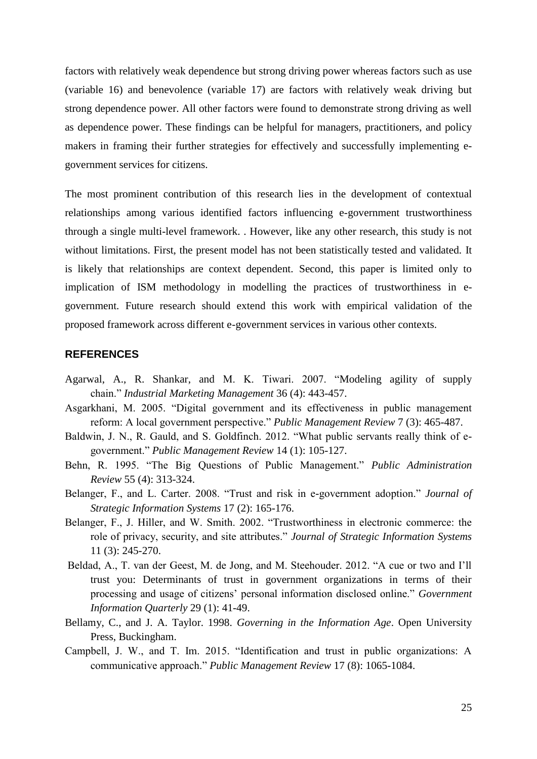factors with relatively weak dependence but strong driving power whereas factors such as use (variable 16) and benevolence (variable 17) are factors with relatively weak driving but strong dependence power. All other factors were found to demonstrate strong driving as well as dependence power. These findings can be helpful for managers, practitioners, and policy makers in framing their further strategies for effectively and successfully implementing egovernment services for citizens.

The most prominent contribution of this research lies in the development of contextual relationships among various identified factors influencing e-government trustworthiness through a single multi-level framework. . However, like any other research, this study is not without limitations. First, the present model has not been statistically tested and validated. It is likely that relationships are context dependent. Second, this paper is limited only to implication of ISM methodology in modelling the practices of trustworthiness in egovernment. Future research should extend this work with empirical validation of the proposed framework across different e-government services in various other contexts.

### **REFERENCES**

- Agarwal, A., R. Shankar, and M. K. Tiwari. 2007. "Modeling agility of supply chain." *Industrial Marketing Management* 36 (4): 443-457.
- Asgarkhani, M. 2005. "Digital government and its effectiveness in public management reform: A local government perspective." *Public Management Review* 7 (3): 465-487.
- Baldwin, J. N., R. Gauld, and S. Goldfinch. 2012. "What public servants really think of egovernment." *Public Management Review* 14 (1): 105-127.
- Behn, R. 1995. "The Big Questions of Public Management." *Public Administration Review* 55 (4): 313-324.
- Belanger, F., and L. Carter. 2008. "Trust and risk in e-government adoption." *Journal of Strategic Information Systems* 17 (2): 165-176.
- Belanger, F., J. Hiller, and W. Smith. 2002. "Trustworthiness in electronic commerce: the role of privacy, security, and site attributes." *Journal of Strategic Information Systems* 11 (3): 245-270.
- Beldad, A., T. van der Geest, M. de Jong, and M. Steehouder. 2012. "A cue or two and I'll trust you: Determinants of trust in government organizations in terms of their processing and usage of citizens' personal information disclosed online." *Government Information Quarterly* 29 (1): 41-49.
- Bellamy, C., and J. A. Taylor. 1998. *Governing in the Information Age*. Open University Press, Buckingham.
- Campbell, J. W., and T. Im. 2015. "Identification and trust in public organizations: A communicative approach." *Public Management Review* 17 (8): 1065-1084.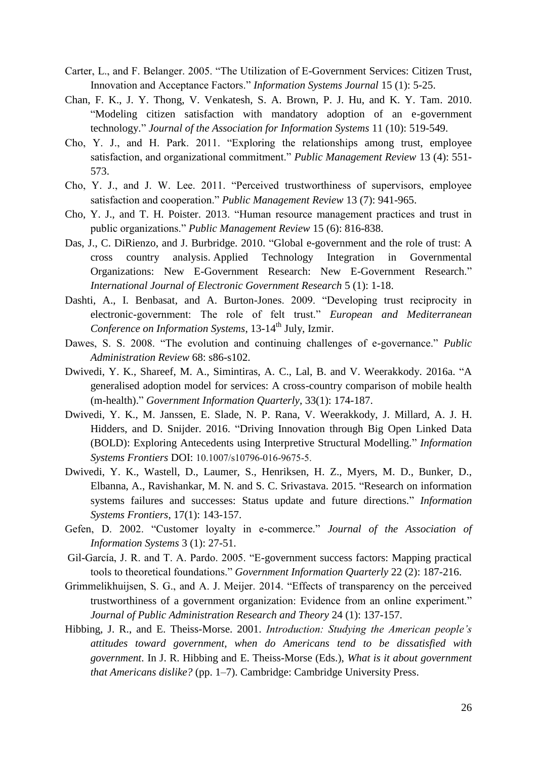- Carter, L., and F. Belanger. 2005. "The Utilization of E-Government Services: Citizen Trust, Innovation and Acceptance Factors." *Information Systems Journal* 15 (1): 5-25.
- Chan, F. K., J. Y. Thong, V. Venkatesh, S. A. Brown, P. J. Hu, and K. Y. Tam. 2010. "Modeling citizen satisfaction with mandatory adoption of an e-government technology." *Journal of the Association for Information Systems* 11 (10): 519-549.
- Cho, Y. J., and H. Park. 2011. "Exploring the relationships among trust, employee satisfaction, and organizational commitment." *Public Management Review* 13 (4): 551- 573.
- Cho, Y. J., and J. W. Lee. 2011. "Perceived trustworthiness of supervisors, employee satisfaction and cooperation." *Public Management Review* 13 (7): 941-965.
- Cho, Y. J., and T. H. Poister. 2013. "Human resource management practices and trust in public organizations." *Public Management Review* 15 (6): 816-838.
- Das, J., C. DiRienzo, and J. Burbridge. 2010. "Global e-government and the role of trust: A cross country analysis. Applied Technology Integration in Governmental Organizations: New E-Government Research: New E-Government Research." *International Journal of Electronic Government Research* 5 (1): 1-18.
- Dashti, A., I. Benbasat, and A. Burton-Jones. 2009. "Developing trust reciprocity in electronic-government: The role of felt trust." *European and Mediterranean Conference on Information Systems*, 13-14<sup>th</sup> July, Izmir.
- Dawes, S. S. 2008. "The evolution and continuing challenges of e-governance." *Public Administration Review* 68: s86-s102.
- Dwivedi, Y. K., Shareef, M. A., Simintiras, A. C., Lal, B. and V. Weerakkody. 2016a. "A generalised adoption model for services: A cross-country comparison of mobile health (m-health)." *Government Information Quarterly*, 33(1): 174-187.
- Dwivedi, Y. K., M. Janssen, E. Slade, N. P. Rana, V. Weerakkody, J. Millard, A. J. H. Hidders, and D. Snijder. 2016. "Driving Innovation through Big Open Linked Data (BOLD): Exploring Antecedents using Interpretive Structural Modelling." *Information Systems Frontiers* DOI: 10.1007/s10796-016-9675-5.
- Dwivedi, Y. K., Wastell, D., Laumer, S., Henriksen, H. Z., Myers, M. D., Bunker, D., Elbanna, A., Ravishankar, M. N. and S. C. Srivastava. 2015. "Research on information systems failures and successes: Status update and future directions." *Information Systems Frontiers*, 17(1): 143-157.
- Gefen, D. 2002. "Customer loyalty in e-commerce." *Journal of the Association of Information Systems* 3 (1): 27-51.
- Gil-García, J. R. and T. A. Pardo. 2005. "E-government success factors: Mapping practical tools to theoretical foundations." *Government Information Quarterly* 22 (2): 187-216.
- Grimmelikhuijsen, S. G., and A. J. Meijer. 2014. "Effects of transparency on the perceived trustworthiness of a government organization: Evidence from an online experiment." *Journal of Public Administration Research and Theory* 24 (1): 137-157.
- Hibbing, J. R., and E. Theiss-Morse. 2001. *Introduction: Studying the American people's attitudes toward government, when do Americans tend to be dissatisfied with government*. In J. R. Hibbing and E. Theiss-Morse (Eds.), *What is it about government that Americans dislike?* (pp. 1–7). Cambridge: Cambridge University Press.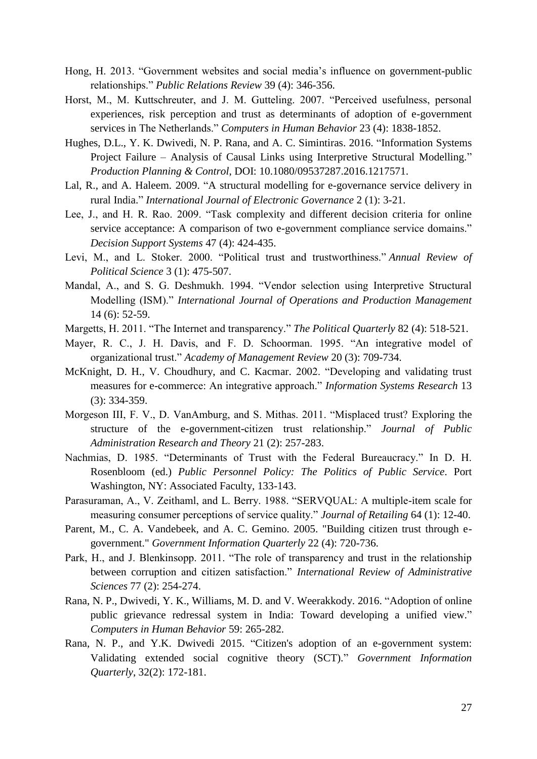- Hong, H. 2013. "Government websites and social media's influence on government-public relationships." *Public Relations Review* 39 (4): 346-356.
- Horst, M., M. Kuttschreuter, and J. M. Gutteling. 2007. "Perceived usefulness, personal experiences, risk perception and trust as determinants of adoption of e-government services in The Netherlands." *Computers in Human Behavior* 23 (4): 1838-1852.
- Hughes, D.L., Y. K. Dwivedi, N. P. Rana, and A. C. Simintiras. 2016. "Information Systems Project Failure – Analysis of Causal Links using Interpretive Structural Modelling." *Production Planning & Control*, DOI: 10.1080/09537287.2016.1217571.
- Lal, R., and A. Haleem. 2009. "A structural modelling for e-governance service delivery in rural India." *International Journal of Electronic Governance* 2 (1): 3-21.
- Lee, J., and H. R. Rao. 2009. "Task complexity and different decision criteria for online service acceptance: A comparison of two e-government compliance service domains." *Decision Support Systems* 47 (4): 424-435.
- Levi, M., and L. Stoker. 2000. "Political trust and trustworthiness." *Annual Review of Political Science* 3 (1): 475-507.
- Mandal, A., and S. G. Deshmukh. 1994. "Vendor selection using Interpretive Structural Modelling (ISM)." *International Journal of Operations and Production Management*  14 (6): 52-59.
- Margetts, H. 2011. "The Internet and transparency." *The Political Quarterly* 82 (4): 518-521.
- Mayer, R. C., J. H. Davis, and F. D. Schoorman. 1995. "An integrative model of organizational trust." *Academy of Management Review* 20 (3): 709-734.
- McKnight, D. H., V. Choudhury, and C. Kacmar. 2002. "Developing and validating trust measures for e-commerce: An integrative approach." *Information Systems Research* 13 (3): 334-359.
- Morgeson III, F. V., D. VanAmburg, and S. Mithas. 2011. "Misplaced trust? Exploring the structure of the e-government-citizen trust relationship." *Journal of Public Administration Research and Theory* 21 (2): 257-283.
- Nachmias, D. 1985. "Determinants of Trust with the Federal Bureaucracy." In D. H. Rosenbloom (ed.) *Public Personnel Policy: The Politics of Public Service*. Port Washington, NY: Associated Faculty, 133-143.
- Parasuraman, A., V. Zeithaml, and L. Berry. 1988. "SERVQUAL: A multiple-item scale for measuring consumer perceptions of service quality." *Journal of Retailing* 64 (1): 12-40.
- Parent, M., C. A. Vandebeek, and A. C. Gemino. 2005. "Building citizen trust through egovernment." *Government Information Quarterly* 22 (4): 720-736.
- Park, H., and J. Blenkinsopp. 2011. "The role of transparency and trust in the relationship between corruption and citizen satisfaction." *International Review of Administrative Sciences* 77 (2): 254-274.
- Rana, N. P., Dwivedi, Y. K., Williams, M. D. and V. Weerakkody. 2016. "Adoption of online public grievance redressal system in India: Toward developing a unified view." *Computers in Human Behavior* 59: 265-282.
- Rana, N. P., and Y.K. Dwivedi 2015. "Citizen's adoption of an e-government system: Validating extended social cognitive theory (SCT)." *Government Information Quarterly*, 32(2): 172-181.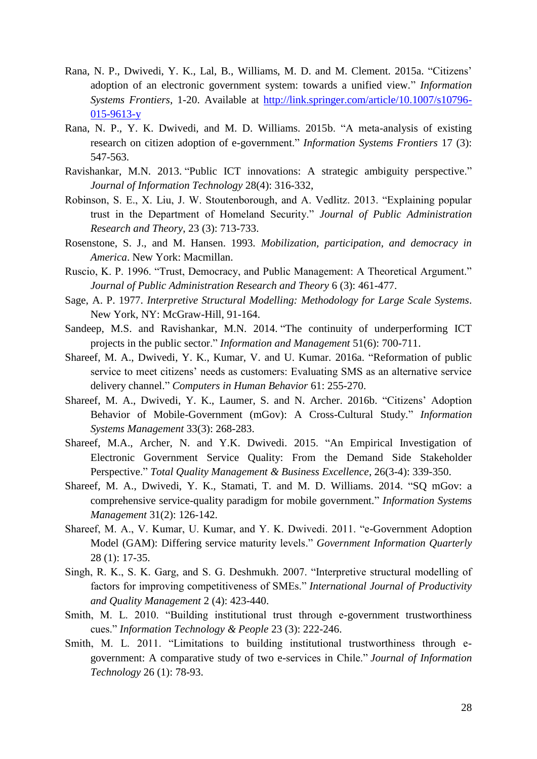- Rana, N. P., Dwivedi, Y. K., Lal, B., Williams, M. D. and M. Clement. 2015a. "Citizens' adoption of an electronic government system: towards a unified view." *Information Systems Frontiers*, 1-20. Available at http://link.springer.com/article/10.1007/s10796- 015-9613-y
- Rana, N. P., Y. K. Dwivedi, and M. D. Williams. 2015b. "A meta-analysis of existing research on citizen adoption of e-government." *Information Systems Frontiers* 17 (3): 547-563.
- Ravishankar, M.N. 2013. "Public ICT innovations: A strategic ambiguity perspective." *Journal of Information Technology* 28(4): 316-332,
- Robinson, S. E., X. Liu, J. W. Stoutenborough, and A. Vedlitz. 2013. "Explaining popular trust in the Department of Homeland Security." *Journal of Public Administration Research and Theory*, 23 (3): 713-733.
- Rosenstone, S. J., and M. Hansen. 1993. *Mobilization, participation, and democracy in America*. New York: Macmillan.
- Ruscio, K. P. 1996. "Trust, Democracy, and Public Management: A Theoretical Argument." *Journal of Public Administration Research and Theory* 6 (3): 461-477.
- Sage, A. P. 1977. *Interpretive Structural Modelling: Methodology for Large Scale Systems*. New York, NY: McGraw-Hill, 91-164.
- Sandeep, M.S. and Ravishankar, M.N. 2014. "The continuity of underperforming ICT projects in the public sector." *Information and Management* 51(6): 700-711.
- Shareef, M. A., Dwivedi, Y. K., Kumar, V. and U. Kumar. 2016a. "Reformation of public service to meet citizens' needs as customers: Evaluating SMS as an alternative service delivery channel." *Computers in Human Behavior* 61: 255-270.
- Shareef, M. A., Dwivedi, Y. K., Laumer, S. and N. Archer. 2016b. "Citizens' Adoption Behavior of Mobile-Government (mGov): A Cross-Cultural Study." *Information Systems Management* 33(3): 268-283.
- Shareef, M.A., Archer, N. and Y.K. Dwivedi. 2015. "An Empirical Investigation of Electronic Government Service Quality: From the Demand Side Stakeholder Perspective." *Total Quality Management & Business Excellence*, 26(3-4): 339-350.
- Shareef, M. A., Dwivedi, Y. K., Stamati, T. and M. D. Williams. 2014. "SQ mGov: a comprehensive service-quality paradigm for mobile government." *Information Systems Management* 31(2): 126-142.
- Shareef, M. A., V. Kumar, U. Kumar, and Y. K. Dwivedi. 2011. "e-Government Adoption Model (GAM): Differing service maturity levels." *Government Information Quarterly* 28 (1): 17-35.
- Singh, R. K., S. K. Garg, and S. G. Deshmukh. 2007. "Interpretive structural modelling of factors for improving competitiveness of SMEs." *International Journal of Productivity and Quality Management* 2 (4): 423-440.
- Smith, M. L. 2010. "Building institutional trust through e-government trustworthiness cues." *Information Technology & People* 23 (3): 222-246.
- Smith, M. L. 2011. "Limitations to building institutional trustworthiness through egovernment: A comparative study of two e-services in Chile." *Journal of Information Technology* 26 (1): 78-93.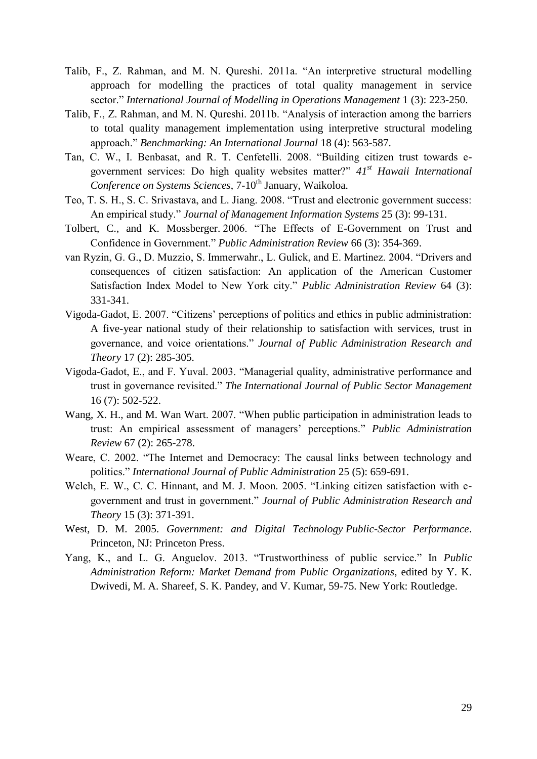- Talib, F., Z. Rahman, and M. N. Qureshi. 2011a. "An interpretive structural modelling approach for modelling the practices of total quality management in service sector." *International Journal of Modelling in Operations Management* 1 (3): 223-250.
- Talib, F., Z. Rahman, and M. N. Qureshi. 2011b. "Analysis of interaction among the barriers to total quality management implementation using interpretive structural modeling approach." *Benchmarking: An International Journal* 18 (4): 563-587.
- Tan, C. W., I. Benbasat, and R. T. Cenfetelli. 2008. "Building citizen trust towards egovernment services: Do high quality websites matter?" *41st Hawaii International Conference on Systems Sciences*, 7-10<sup>th</sup> January, Waikoloa.
- Teo, T. S. H., S. C. Srivastava, and L. Jiang. 2008. "Trust and electronic government success: An empirical study." *Journal of Management Information Systems* 25 (3): 99-131.
- Tolbert, C., and K. Mossberger. 2006. "The Effects of E-Government on Trust and Confidence in Government." *Public Administration Review* 66 (3): 354-369.
- van Ryzin, G. G., D. Muzzio, S. Immerwahr., L. Gulick, and E. Martinez. 2004. "Drivers and consequences of citizen satisfaction: An application of the American Customer Satisfaction Index Model to New York city." *Public Administration Review* 64 (3): 331-341.
- Vigoda-Gadot, E. 2007. "Citizens' perceptions of politics and ethics in public administration: A five-year national study of their relationship to satisfaction with services, trust in governance, and voice orientations." *Journal of Public Administration Research and Theory* 17 (2): 285-305.
- Vigoda-Gadot, E., and F. Yuval. 2003. "Managerial quality, administrative performance and trust in governance revisited." *The International Journal of Public Sector Management* 16 (7): 502-522.
- Wang, X. H., and M. Wan Wart. 2007. "When public participation in administration leads to trust: An empirical assessment of managers' perceptions." *Public Administration Review* 67 (2): 265-278.
- Weare, C. 2002. "The Internet and Democracy: The causal links between technology and politics." *International Journal of Public Administration* 25 (5): 659-691.
- Welch, E. W., C. C. Hinnant, and M. J. Moon. 2005. "Linking citizen satisfaction with egovernment and trust in government." *Journal of Public Administration Research and Theory* 15 (3): 371-391.
- West, D. M. 2005. *Government: and Digital Technology Public-Sector Performance*. Princeton, NJ: Princeton Press.
- Yang, K., and L. G. Anguelov. 2013. "Trustworthiness of public service." In *Public Administration Reform: Market Demand from Public Organizations*, edited by Y. K. Dwivedi, M. A. Shareef, S. K. Pandey, and V. Kumar, 59-75. New York: Routledge.